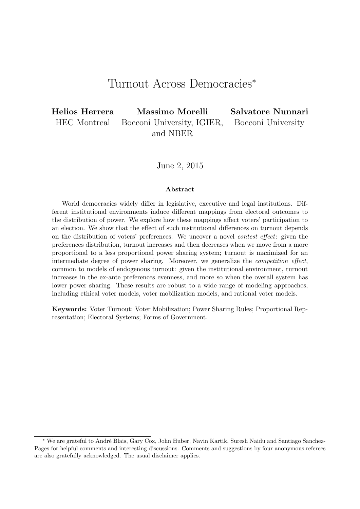# Turnout Across Democracies<sup>∗</sup>

Helios Herrera Massimo Morelli Salvatore Nunnari HEC Montreal Bocconi University, IGIER, Bocconi University and NBER

June 2, 2015

#### Abstract

World democracies widely differ in legislative, executive and legal institutions. Different institutional environments induce different mappings from electoral outcomes to the distribution of power. We explore how these mappings affect voters' participation to an election. We show that the effect of such institutional differences on turnout depends on the distribution of voters' preferences. We uncover a novel contest effect: given the preferences distribution, turnout increases and then decreases when we move from a more proportional to a less proportional power sharing system; turnout is maximized for an intermediate degree of power sharing. Moreover, we generalize the competition effect, common to models of endogenous turnout: given the institutional environment, turnout increases in the ex-ante preferences evenness, and more so when the overall system has lower power sharing. These results are robust to a wide range of modeling approaches, including ethical voter models, voter mobilization models, and rational voter models.

Keywords: Voter Turnout; Voter Mobilization; Power Sharing Rules; Proportional Representation; Electoral Systems; Forms of Government.

<sup>∗</sup> We are grateful to Andr´e Blais, Gary Cox, John Huber, Navin Kartik, Suresh Naidu and Santiago Sanchez-Pages for helpful comments and interesting discussions. Comments and suggestions by four anonymous referees are also gratefully acknowledged. The usual disclaimer applies.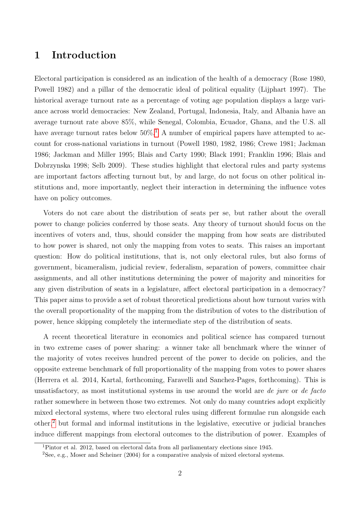## 1 Introduction

Electoral participation is considered as an indication of the health of a democracy (Rose 1980, Powell 1982) and a pillar of the democratic ideal of political equality (Lijphart 1997). The historical average turnout rate as a percentage of voting age population displays a large variance across world democracies: New Zealand, Portugal, Indonesia, Italy, and Albania have an average turnout rate above 85%, while Senegal, Colombia, Ecuador, Ghana, and the U.S. all have average turnout rates below  $50\%$ <sup>[1](#page-1-0)</sup>. A number of empirical papers have attempted to account for cross-national variations in turnout (Powell 1980, 1982, 1986; Crewe 1981; Jackman 1986; Jackman and Miller 1995; Blais and Carty 1990; Black 1991; Franklin 1996; Blais and Dobrzynska 1998; Selb 2009). These studies highlight that electoral rules and party systems are important factors affecting turnout but, by and large, do not focus on other political institutions and, more importantly, neglect their interaction in determining the influence votes have on policy outcomes.

Voters do not care about the distribution of seats per se, but rather about the overall power to change policies conferred by those seats. Any theory of turnout should focus on the incentives of voters and, thus, should consider the mapping from how seats are distributed to how power is shared, not only the mapping from votes to seats. This raises an important question: How do political institutions, that is, not only electoral rules, but also forms of government, bicameralism, judicial review, federalism, separation of powers, committee chair assignments, and all other institutions determining the power of majority and minorities for any given distribution of seats in a legislature, affect electoral participation in a democracy? This paper aims to provide a set of robust theoretical predictions about how turnout varies with the overall proportionality of the mapping from the distribution of votes to the distribution of power, hence skipping completely the intermediate step of the distribution of seats.

A recent theoretical literature in economics and political science has compared turnout in two extreme cases of power sharing: a winner take all benchmark where the winner of the majority of votes receives hundred percent of the power to decide on policies, and the opposite extreme benchmark of full proportionality of the mapping from votes to power shares (Herrera et al. 2014, Kartal, forthcoming, Faravelli and Sanchez-Pages, forthcoming). This is unsatisfactory, as most institutional systems in use around the world are de jure or de facto rather somewhere in between those two extremes. Not only do many countries adopt explicitly mixed electoral systems, where two electoral rules using different formulae run alongside each other,[2](#page-1-1) but formal and informal institutions in the legislative, executive or judicial branches induce different mappings from electoral outcomes to the distribution of power. Examples of

<span id="page-1-0"></span><sup>1</sup>Pintor et al. 2012, based on electoral data from all parliamentary elections since 1945.

<span id="page-1-1"></span><sup>2</sup>See, e.g., Moser and Scheiner (2004) for a comparative analysis of mixed electoral systems.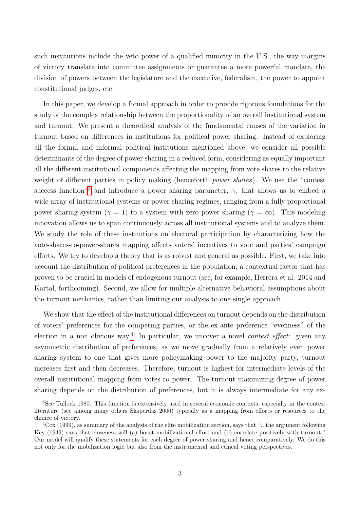such institutions include the veto power of a qualified minority in the U.S., the way margins of victory translate into committee assignments or guarantee a more powerful mandate, the division of powers between the legislature and the executive, federalism, the power to appoint constitutional judges, etc.

In this paper, we develop a formal approach in order to provide rigorous foundations for the study of the complex relationship between the proportionality of an overall institutional system and turnout. We present a theoretical analysis of the fundamental causes of the variation in turnout based on differences in institutions for political power sharing. Instead of exploring all the formal and informal political institutions mentioned above, we consider all possible determinants of the degree of power sharing in a reduced form, considering as equally important all the different institutional components affecting the mapping from vote shares to the relative weight of different parties in policy making (henceforth *power shares*). We use the "contest success function<sup>"[3](#page-2-0)</sup> and introduce a power sharing parameter,  $\gamma$ , that allows us to embed a wide array of institutional systems or power sharing regimes, ranging from a fully proportional power sharing system ( $\gamma = 1$ ) to a system with zero power sharing ( $\gamma = \infty$ ). This modeling innovation allows us to span continuously across all institutional systems and to analyze them. We study the role of these institutions on electoral participation by characterizing how the vote-shares-to-power-shares mapping affects voters' incentives to vote and parties' campaign efforts. We try to develop a theory that is as robust and general as possible. First, we take into account the distribution of political preferences in the population, a contextual factor that has proven to be crucial in models of endogenous turnout (see, for example, Herrera et al. 2014 and Kartal, forthcoming). Second, we allow for multiple alternative behavioral assumptions about the turnout mechanics, rather than limiting our analysis to one single approach.

We show that the effect of the institutional differences on turnout depends on the distribution of voters' preferences for the competing parties, or the ex-ante preference "evenness" of the election in a non obvious way.<sup>[4](#page-2-1)</sup> In particular, we uncover a novel *contest effect*: given any asymmetric distribution of preferences, as we move gradually from a relatively even power sharing system to one that gives more policymaking power to the majority party, turnout increases first and then decreases. Therefore, turnout is highest for intermediate levels of the overall institutional mapping from votes to power. The turnout maximizing degree of power sharing depends on the distribution of preferences, but it is always intermediate for any ex-

<span id="page-2-0"></span><sup>3</sup>See Tullock 1980. This function is extensively used in several economic contexts, especially in the contest literature (see among many others Skaperdas 2006) typically as a mapping from efforts or resources to the chance of victory.

<span id="page-2-1"></span><sup>4</sup>Cox (1999), as summary of the analysis of the elite mobilization section, says that "...the argument following Key (1949) says that closeness will (a) boost mobilizational effort and (b) correlate positively with turnout." Our model will qualify these statements for each degree of power sharing and hence comparatively. We do this not only for the mobilization logic but also from the instrumental and ethical voting perspectives.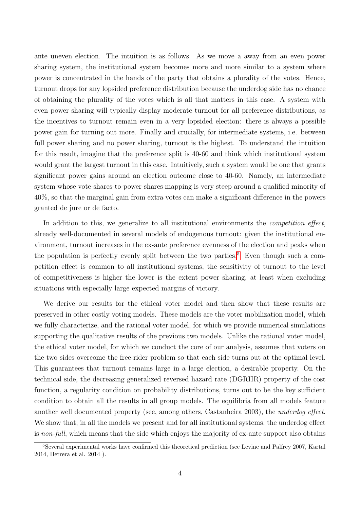ante uneven election. The intuition is as follows. As we move a away from an even power sharing system, the institutional system becomes more and more similar to a system where power is concentrated in the hands of the party that obtains a plurality of the votes. Hence, turnout drops for any lopsided preference distribution because the underdog side has no chance of obtaining the plurality of the votes which is all that matters in this case. A system with even power sharing will typically display moderate turnout for all preference distributions, as the incentives to turnout remain even in a very lopsided election: there is always a possible power gain for turning out more. Finally and crucially, for intermediate systems, i.e. between full power sharing and no power sharing, turnout is the highest. To understand the intuition for this result, imagine that the preference split is 40-60 and think which institutional system would grant the largest turnout in this case. Intuitively, such a system would be one that grants significant power gains around an election outcome close to 40-60. Namely, an intermediate system whose vote-shares-to-power-shares mapping is very steep around a qualified minority of 40%, so that the marginal gain from extra votes can make a significant difference in the powers granted de jure or de facto.

In addition to this, we generalize to all institutional environments the *competition effect*, already well-documented in several models of endogenous turnout: given the institutional environment, turnout increases in the ex-ante preference evenness of the election and peaks when the population is perfectly evenly split between the two parties.<sup>[5](#page-3-0)</sup> Even though such a competition effect is common to all institutional systems, the sensitivity of turnout to the level of competitiveness is higher the lower is the extent power sharing, at least when excluding situations with especially large expected margins of victory.

We derive our results for the ethical voter model and then show that these results are preserved in other costly voting models. These models are the voter mobilization model, which we fully characterize, and the rational voter model, for which we provide numerical simulations supporting the qualitative results of the previous two models. Unlike the rational voter model, the ethical voter model, for which we conduct the core of our analysis, assumes that voters on the two sides overcome the free-rider problem so that each side turns out at the optimal level. This guarantees that turnout remains large in a large election, a desirable property. On the technical side, the decreasing generalized reversed hazard rate (DGRHR) property of the cost function, a regularity condition on probability distributions, turns out to be the key sufficient condition to obtain all the results in all group models. The equilibria from all models feature another well documented property (see, among others, Castanheira 2003), the underdog effect. We show that, in all the models we present and for all institutional systems, the underdog effect is non-full, which means that the side which enjoys the majority of ex-ante support also obtains

<span id="page-3-0"></span><sup>5</sup>Several experimental works have confirmed this theoretical prediction (see Levine and Palfrey 2007, Kartal 2014, Herrera et al. 2014 ).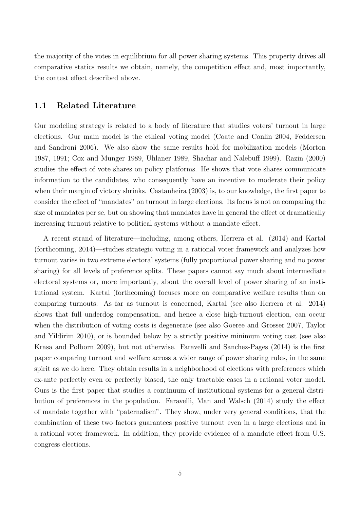the majority of the votes in equilibrium for all power sharing systems. This property drives all comparative statics results we obtain, namely, the competition effect and, most importantly, the contest effect described above.

### 1.1 Related Literature

Our modeling strategy is related to a body of literature that studies voters' turnout in large elections. Our main model is the ethical voting model (Coate and Conlin 2004, Feddersen and Sandroni 2006). We also show the same results hold for mobilization models (Morton 1987, 1991; Cox and Munger 1989, Uhlaner 1989, Shachar and Nalebuff 1999). Razin (2000) studies the effect of vote shares on policy platforms. He shows that vote shares communicate information to the candidates, who consequently have an incentive to moderate their policy when their margin of victory shrinks. Castanheira (2003) is, to our knowledge, the first paper to consider the effect of "mandates" on turnout in large elections. Its focus is not on comparing the size of mandates per se, but on showing that mandates have in general the effect of dramatically increasing turnout relative to political systems without a mandate effect.

A recent strand of literature—including, among others, Herrera et al. (2014) and Kartal (forthcoming, 2014)—studies strategic voting in a rational voter framework and analyzes how turnout varies in two extreme electoral systems (fully proportional power sharing and no power sharing) for all levels of preference splits. These papers cannot say much about intermediate electoral systems or, more importantly, about the overall level of power sharing of an institutional system. Kartal (forthcoming) focuses more on comparative welfare results than on comparing turnouts. As far as turnout is concerned, Kartal (see also Herrera et al. 2014) shows that full underdog compensation, and hence a close high-turnout election, can occur when the distribution of voting costs is degenerate (see also Goeree and Grosser 2007, Taylor and Yildirim 2010), or is bounded below by a strictly positive minimum voting cost (see also Krasa and Polborn 2009), but not otherwise. Faravelli and Sanchez-Pages (2014) is the first paper comparing turnout and welfare across a wider range of power sharing rules, in the same spirit as we do here. They obtain results in a neighborhood of elections with preferences which ex-ante perfectly even or perfectly biased, the only tractable cases in a rational voter model. Ours is the first paper that studies a continuum of institutional systems for a general distribution of preferences in the population. Faravelli, Man and Walsch (2014) study the effect of mandate together with "paternalism". They show, under very general conditions, that the combination of these two factors guarantees positive turnout even in a large elections and in a rational voter framework. In addition, they provide evidence of a mandate effect from U.S. congress elections.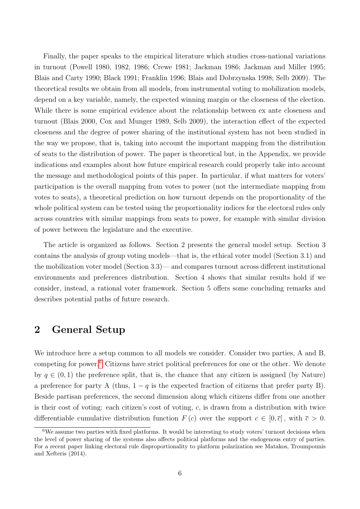Finally, the paper speaks to the empirical literature which studies cross-national variations in turnout (Powell 1980, 1982, 1986; Crewe 1981; Jackman 1986; Jackman and Miller 1995; Blais and Carty 1990; Black 1991; Franklin 1996; Blais and Dobrzynska 1998; Selb 2009). The theoretical results we obtain from all models, from instrumental voting to mobilization models, depend on a key variable, namely, the expected winning margin or the closeness of the election. While there is some empirical evidence about the relationship between ex ante closeness and turnout (Blais 2000, Cox and Munger 1989, Selb 2009), the interaction effect of the expected closeness and the degree of power sharing of the institutional system has not been studied in the way we propose, that is, taking into account the important mapping from the distribution of seats to the distribution of power. The paper is theoretical but, in the Appendix, we provide indications and examples about how future empirical research could properly take into account the message and methodological points of this paper. In particular, if what matters for voters' participation is the overall mapping from votes to power (not the intermediate mapping from votes to seats), a theoretical prediction on how turnout depends on the proportionality of the whole political system can be tested using the proportionality indices for the electoral rules only across countries with similar mappings from seats to power, for example with similar division of power between the legislature and the executive.

The article is organized as follows. Section 2 presents the general model setup. Section 3 contains the analysis of group voting models—that is, the ethical voter model (Section 3.1) and the mobilization voter model (Section 3.3)— and compares turnout across different institutional environments and preferences distribution. Section 4 shows that similar results hold if we consider, instead, a rational voter framework. Section 5 offers some concluding remarks and describes potential paths of future research.

## 2 General Setup

We introduce here a setup common to all models we consider. Consider two parties, A and B, competing for power.[6](#page-5-0) Citizens have strict political preferences for one or the other. We denote by  $q \in (0,1)$  the preference split, that is, the chance that any citizen is assigned (by Nature) a preference for party A (thus,  $1 - q$  is the expected fraction of citizens that prefer party B). Beside partisan preferences, the second dimension along which citizens differ from one another is their cost of voting: each citizen's cost of voting,  $c$ , is drawn from a distribution with twice differentiable cumulative distribution function  $F(c)$  over the support  $c \in [0,\overline{c}]$ , with  $\overline{c} > 0$ .

<span id="page-5-0"></span> $6$ We assume two parties with fixed platforms. It would be interesting to study voters' turnout decisions when the level of power sharing of the systems also affects political platforms and the endogenous entry of parties. For a recent paper linking electoral rule disproportionality to platform polarization see Matakos, Troumpounis and Xefteris (2014).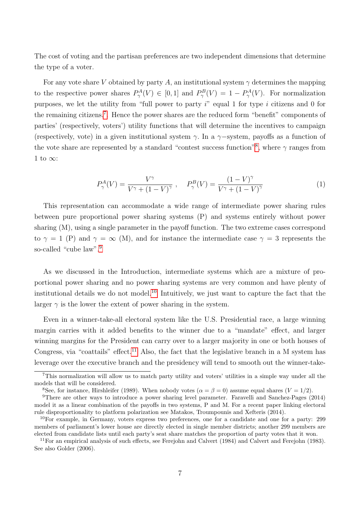The cost of voting and the partisan preferences are two independent dimensions that determine the type of a voter.

For any vote share V obtained by party A, an institutional system  $\gamma$  determines the mapping to the respective power shares  $P^A_\gamma(V) \in [0,1]$  and  $P^B_\gamma(V) = 1 - P^A_\gamma(V)$ . For normalization purposes, we let the utility from "full power to party  $i$ " equal 1 for type i citizens and 0 for the remaining citizens.<sup>[7](#page-6-0)</sup>. Hence the power shares are the reduced form "benefit" components of parties' (respectively, voters') utility functions that will determine the incentives to campaign (respectively, vote) in a given institutional system  $\gamma$ . In a  $\gamma$ -system, payoffs as a function of the vote share are represented by a standard "contest success function"<sup>[8](#page-6-1)</sup>, where  $\gamma$  ranges from 1 to  $\infty$ :

<span id="page-6-5"></span>
$$
P_{\gamma}^{A}(V) = \frac{V^{\gamma}}{V^{\gamma} + (1 - V)^{\gamma}} , \quad P_{\gamma}^{B}(V) = \frac{(1 - V)^{\gamma}}{V^{\gamma} + (1 - V)^{\gamma}}
$$
(1)

This representation can accommodate a wide range of intermediate power sharing rules between pure proportional power sharing systems (P) and systems entirely without power sharing (M), using a single parameter in the payoff function. The two extreme cases correspond to  $\gamma = 1$  (P) and  $\gamma = \infty$  (M), and for instance the intermediate case  $\gamma = 3$  represents the so-called "cube law".<sup>[9](#page-6-2)</sup>

As we discussed in the Introduction, intermediate systems which are a mixture of proportional power sharing and no power sharing systems are very common and have plenty of institutional details we do not model.<sup>[10](#page-6-3)</sup> Intuitively, we just want to capture the fact that the larger  $\gamma$  is the lower the extent of power sharing in the system.

Even in a winner-take-all electoral system like the U.S. Presidential race, a large winning margin carries with it added benefits to the winner due to a "mandate" effect, and larger winning margins for the President can carry over to a larger majority in one or both houses of Congress, via "coattails" effect.<sup>[11](#page-6-4)</sup> Also, the fact that the legislative branch in a M system has leverage over the executive branch and the presidency will tend to smooth out the winner-take-

<span id="page-6-0"></span><sup>7</sup>This normalization will allow us to match party utility and voters' utilities in a simple way under all the models that will be considered.

<span id="page-6-2"></span><span id="page-6-1"></span><sup>&</sup>lt;sup>8</sup>See, for instance, Hirshleifer (1989). When nobody votes ( $\alpha = \beta = 0$ ) assume equal shares ( $V = 1/2$ ).

<sup>9</sup>There are other ways to introduce a power sharing level parameter. Faravelli and Sanchez-Pages (2014) model it as a linear combination of the payoffs in two systems, P and M. For a recent paper linking electoral rule disproportionality to platform polarization see Matakos, Troumpounis and Xefteris (2014).

<span id="page-6-3"></span><sup>10</sup>For example, in Germany, voters express two preferences, one for a candidate and one for a party: 299 members of parliament's lower house are directly elected in single member districts; another 299 members are elected from candidate lists until each party's seat share matches the proportion of party votes that it won.

<span id="page-6-4"></span><sup>11</sup>For an empirical analysis of such effects, see Ferejohn and Calvert (1984) and Calvert and Ferejohn (1983). See also Golder (2006).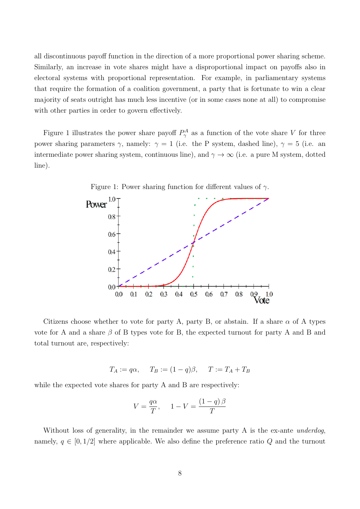all discontinuous payoff function in the direction of a more proportional power sharing scheme. Similarly, an increase in vote shares might have a disproportional impact on payoffs also in electoral systems with proportional representation. For example, in parliamentary systems that require the formation of a coalition government, a party that is fortunate to win a clear majority of seats outright has much less incentive (or in some cases none at all) to compromise with other parties in order to govern effectively.

Figure 1 illustrates the power share payoff  $P_{\gamma}^{A}$  as a function of the vote share V for three power sharing parameters  $\gamma$ , namely:  $\gamma = 1$  (i.e. the P system, dashed line),  $\gamma = 5$  (i.e. an intermediate power sharing system, continuous line), and  $\gamma \to \infty$  (i.e. a pure M system, dotted line).



Figure 1: Power sharing function for different values of  $\gamma$ .

Citizens choose whether to vote for party A, party B, or abstain. If a share  $\alpha$  of A types vote for A and a share  $\beta$  of B types vote for B, the expected turnout for party A and B and total turnout are, respectively:

$$
T_A := q\alpha, \quad T_B := (1-q)\beta, \quad T := T_A + T_B
$$

while the expected vote shares for party A and B are respectively:

$$
V = \frac{q\alpha}{T}, \quad 1 - V = \frac{(1 - q)\beta}{T}
$$

Without loss of generality, in the remainder we assume party A is the ex-ante *underdog*, namely,  $q \in [0, 1/2]$  where applicable. We also define the preference ratio Q and the turnout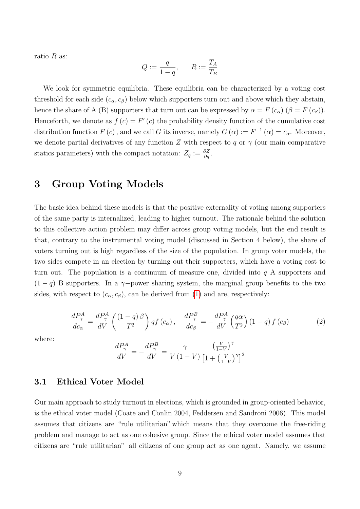ratio  $R$  as:

$$
Q := \frac{q}{1-q}, \qquad R := \frac{T_A}{T_B}
$$

We look for symmetric equilibria. These equilibria can be characterized by a voting cost threshold for each side  $(c_{\alpha}, c_{\beta})$  below which supporters turn out and above which they abstain, hence the share of A (B) supporters that turn out can be expressed by  $\alpha = F(c_{\alpha}) (\beta = F(c_{\beta}))$ . Henceforth, we denote as  $f(c) = F'(c)$  the probability density function of the cumulative cost distribution function  $F(c)$ , and we call G its inverse, namely  $G(\alpha) := F^{-1}(\alpha) = c_{\alpha}$ . Moreover, we denote partial derivatives of any function Z with respect to q or  $\gamma$  (our main comparative statics parameters) with the compact notation:  $Z_q := \frac{\partial Z}{\partial q}$ .

# 3 Group Voting Models

The basic idea behind these models is that the positive externality of voting among supporters of the same party is internalized, leading to higher turnout. The rationale behind the solution to this collective action problem may differ across group voting models, but the end result is that, contrary to the instrumental voting model (discussed in Section 4 below), the share of voters turning out is high regardless of the size of the population. In group voter models, the two sides compete in an election by turning out their supporters, which have a voting cost to turn out. The population is a continuum of measure one, divided into  $q$  A supporters and  $(1 - q)$  B supporters. In a γ−power sharing system, the marginal group benefits to the two sides, with respect to  $(c_{\alpha}, c_{\beta})$ , can be derived from [\(1\)](#page-6-5) and are, respectively:

<span id="page-8-0"></span>
$$
\frac{dP_{\gamma}^{A}}{dc_{\alpha}} = \frac{dP_{\gamma}^{A}}{dV} \left( \frac{(1-q)\beta}{T^{2}} \right) q f(c_{\alpha}), \quad \frac{dP_{\gamma}^{B}}{dc_{\beta}} = -\frac{dP_{\gamma}^{A}}{dV} \left( \frac{q\alpha}{T^{2}} \right) (1-q) f(c_{\beta}) \tag{2}
$$

where:

$$
\frac{dP_{\gamma}^{A}}{dV}=-\frac{dP_{\gamma}^{B}}{dV}=\frac{\gamma}{V\left(1-V\right)}\frac{\left(\frac{V}{1-V}\right)^{\gamma}}{\left[1+\left(\frac{V}{1-V}\right)^{\gamma}\right]^{2}}
$$

### 3.1 Ethical Voter Model

Our main approach to study turnout in elections, which is grounded in group-oriented behavior, is the ethical voter model (Coate and Conlin 2004, Feddersen and Sandroni 2006). This model assumes that citizens are "rule utilitarian" which means that they overcome the free-riding problem and manage to act as one cohesive group. Since the ethical voter model assumes that citizens are "rule utilitarian" all citizens of one group act as one agent. Namely, we assume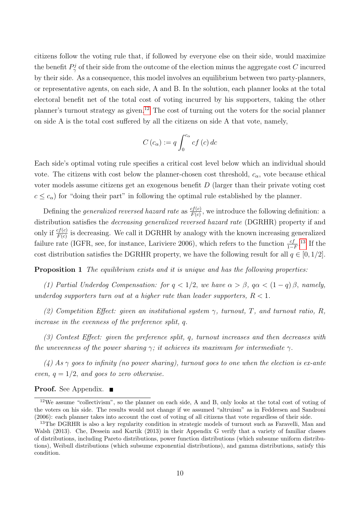citizens follow the voting rule that, if followed by everyone else on their side, would maximize the benefit  $P^j_\gamma$  of their side from the outcome of the election minus the aggregate cost C incurred by their side. As a consequence, this model involves an equilibrium between two party-planners, or representative agents, on each side, A and B. In the solution, each planner looks at the total electoral benefit net of the total cost of voting incurred by his supporters, taking the other planner's turnout strategy as given.<sup>[12](#page-9-0)</sup> The cost of turning out the voters for the social planner on side A is the total cost suffered by all the citizens on side A that vote, namely,

$$
C\left(c_{\alpha}\right):=q\int_{0}^{c_{\alpha}}cf\left(c\right)dc
$$

Each side's optimal voting rule specifies a critical cost level below which an individual should vote. The citizens with cost below the planner-chosen cost threshold,  $c_{\alpha}$ , vote because ethical voter models assume citizens get an exogenous benefit D (larger than their private voting cost  $c \leq c_{\alpha}$ ) for "doing their part" in following the optimal rule established by the planner.

Defining the *generalized reversed hazard rate* as  $\frac{cf(c)}{F(c)}$  $\frac{cf(c)}{F(c)}$ , we introduce the following definition: a distribution satisfies the *decreasing generalized reversed hazard rate* (DGRHR) property if and only if  $\frac{cf(c)}{F(c)}$  is decreasing. We call it DGRHR by analogy with the known increasing generalized failure rate (IGFR, see, for instance, Lariviere 2006), which refers to the function  $\frac{cf}{1-F}$ .<sup>[13](#page-9-1)</sup> If the cost distribution satisfies the DGRHR property, we have the following result for all  $q \in [0, 1/2]$ .

Proposition 1 The equilibrium exists and it is unique and has the following properties:

(1) Partial Underdog Compensation: for  $q < 1/2$ , we have  $\alpha > \beta$ ,  $q\alpha < (1 - q)\beta$ , namely, underdog supporters turn out at a higher rate than leader supporters,  $R < 1$ .

(2) Competition Effect: given an institutional system  $\gamma$ , turnout, T, and turnout ratio, R, increase in the evenness of the preference split, q.

(3) Contest Effect: given the preference split, q, turnout increases and then decreases with the unevenness of the power sharing  $\gamma$ ; it achieves its maximum for intermediate  $\gamma$ .

(4) As  $\gamma$  goes to infinity (no power sharing), turnout goes to one when the election is ex-ante even,  $q = 1/2$ , and goes to zero otherwise.

#### **Proof.** See Appendix. ■

<span id="page-9-0"></span><sup>&</sup>lt;sup>12</sup>We assume "collectivism", so the planner on each side, A and B, only looks at the total cost of voting of the voters on his side. The results would not change if we assumed "altruism" as in Feddersen and Sandroni (2006): each planner takes into account the cost of voting of all citizens that vote regardless of their side.

<span id="page-9-1"></span><sup>&</sup>lt;sup>13</sup>The DGRHR is also a key regularity condition in strategic models of turnout such as Faravelli, Man and Walsh (2013). Che, Dessein and Kartik (2013) in their Appendix G verify that a variety of familiar classes of distributions, including Pareto distributions, power function distributions (which subsume uniform distributions), Weibull distributions (which subsume exponential distributions), and gamma distributions, satisfy this condition.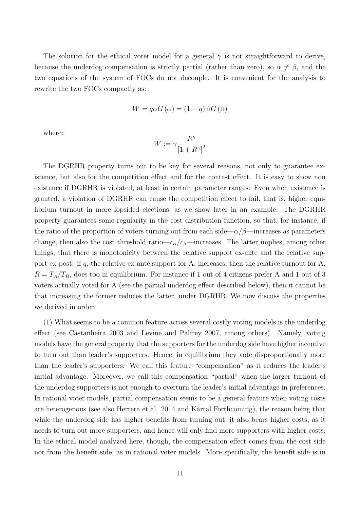The solution for the ethical voter model for a general  $\gamma$  is not straightforward to derive, because the underdog compensation is strictly partial (rather than zero), so  $\alpha \neq \beta$ , and the two equations of the system of FOCs do not decouple. It is convenient for the analysis to rewrite the two FOCs compactly as:

$$
W = q\alpha G\left(\alpha\right) = \left(1 - q\right)\beta G\left(\beta\right)
$$

where:

$$
W := \gamma \frac{R^{\gamma}}{\left[1 + R^{\gamma}\right]^2}
$$

The DGRHR property turns out to be key for several reasons, not only to guarantee existence, but also for the competition effect and for the contest effect. It is easy to show non existence if DGRHR is violated, at least in certain parameter ranges. Even when existence is granted, a violation of DGRHR can cause the competition effect to fail, that is, higher equilibrium turnout in more lopsided elections, as we show later in an example. The DGRHR property guarantees some regularity in the cost distribution function, so that, for instance, if the ratio of the proportion of voters turning out from each side— $\alpha/\beta$ —increases as parameters change, then also the cost threshold ratio— $c_{\alpha}/c_{\beta}$ —increases. The latter implies, among other things, that there is monotonicity between the relative support ex-ante and the relative support ex-post: if q, the relative ex-ante support for A, increases, then the relative turnout for  $A$ ,  $R = T_A/T_B$ , does too in equilibrium. For instance if 1 out of 4 citizens prefer A and 1 out of 3 voters actually voted for A (see the partial underdog effect described below), then it cannot be that increasing the former reduces the latter, under DGRHR. We now discuss the properties we derived in order.

(1) What seems to be a common feature across several costly voting models is the underdog effect (see Castanheira 2003 and Levine and Palfrey 2007, among others). Namely, voting models have the general property that the supporters for the underdog side have higher incentive to turn out than leader's supporters. Hence, in equilibrium they vote disproportionally more than the leader's supporters. We call this feature "compensation" as it reduces the leader's initial advantage. Moreover, we call this compensation "partial" when the larger turnout of the underdog supporters is not enough to overturn the leader's initial advantage in preferences. In rational voter models, partial compensation seems to be a general feature when voting costs are heterogenous (see also Herrera et al. 2014 and Kartal Forthcoming), the reason being that while the underdog side has higher benefits from turning out, it also bears higher costs, as it needs to turn out more supporters, and hence will only find more supporters with higher costs. In the ethical model analyzed here, though, the compensation effect comes from the cost side not from the benefit side, as in rational voter models. More specifically, the benefit side is in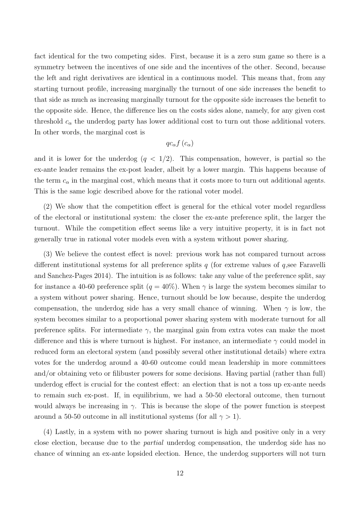fact identical for the two competing sides. First, because it is a zero sum game so there is a symmetry between the incentives of one side and the incentives of the other. Second, because the left and right derivatives are identical in a continuous model. This means that, from any starting turnout profile, increasing marginally the turnout of one side increases the benefit to that side as much as increasing marginally turnout for the opposite side increases the benefit to the opposite side. Hence, the difference lies on the costs sides alone, namely, for any given cost threshold  $c_{\alpha}$  the underdog party has lower additional cost to turn out those additional voters. In other words, the marginal cost is

$$
qc_{\alpha}f\left(c_{\alpha}\right)
$$

and it is lower for the underdog  $(q < 1/2)$ . This compensation, however, is partial so the ex-ante leader remains the ex-post leader, albeit by a lower margin. This happens because of the term  $c_{\alpha}$  in the marginal cost, which means that it costs more to turn out additional agents. This is the same logic described above for the rational voter model.

(2) We show that the competition effect is general for the ethical voter model regardless of the electoral or institutional system: the closer the ex-ante preference split, the larger the turnout. While the competition effect seems like a very intuitive property, it is in fact not generally true in rational voter models even with a system without power sharing.

(3) We believe the contest effect is novel: previous work has not compared turnout across different institutional systems for all preference splits  $q$  (for extreme values of  $q$ , see Faravelli and Sanchez-Pages 2014). The intuition is as follows: take any value of the preference split, say for instance a 40-60 preference split ( $q = 40\%$ ). When  $\gamma$  is large the system becomes similar to a system without power sharing. Hence, turnout should be low because, despite the underdog compensation, the underdog side has a very small chance of winning. When  $\gamma$  is low, the system becomes similar to a proportional power sharing system with moderate turnout for all preference splits. For intermediate  $\gamma$ , the marginal gain from extra votes can make the most difference and this is where turnout is highest. For instance, an intermediate  $\gamma$  could model in reduced form an electoral system (and possibly several other institutional details) where extra votes for the underdog around a 40-60 outcome could mean leadership in more committees and/or obtaining veto or filibuster powers for some decisions. Having partial (rather than full) underdog effect is crucial for the contest effect: an election that is not a toss up ex-ante needs to remain such ex-post. If, in equilibrium, we had a 50-50 electoral outcome, then turnout would always be increasing in  $\gamma$ . This is because the slope of the power function is steepest around a 50-50 outcome in all institutional systems (for all  $\gamma > 1$ ).

(4) Lastly, in a system with no power sharing turnout is high and positive only in a very close election, because due to the partial underdog compensation, the underdog side has no chance of winning an ex-ante lopsided election. Hence, the underdog supporters will not turn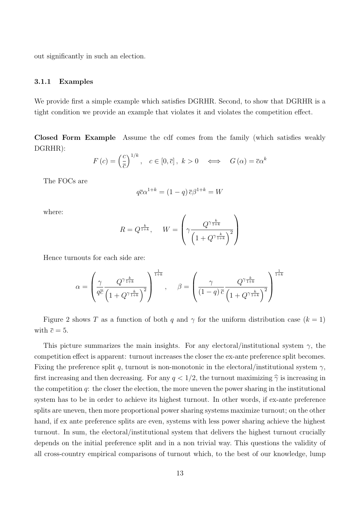out significantly in such an election.

#### 3.1.1 Examples

We provide first a simple example which satisfies DGRHR. Second, to show that DGRHR is a tight condition we provide an example that violates it and violates the competition effect.

Closed Form Example Assume the cdf comes from the family (which satisfies weakly DGRHR):

$$
F(c) = \left(\frac{c}{\bar{c}}\right)^{1/k}, \quad c \in [0, \bar{c}], \quad k > 0 \quad \Longleftrightarrow \quad G(\alpha) = \bar{c}\alpha^k
$$

The FOCs are

$$
q\overline{c}\alpha^{1+k} = (1-q)\,\overline{c}\beta^{1+k} = W
$$

where:

$$
R = Q^{\frac{k}{1+k}}, \quad W = \left(\gamma \frac{Q^{\gamma \frac{k}{1+k}}}{\left(1 + Q^{\gamma \frac{k}{1+k}}\right)^2}\right)
$$

Hence turnouts for each side are:

$$
\alpha = \left(\frac{\gamma}{q\overline{c}} \frac{Q^{\gamma \frac{k}{1+k}}}{\left(1+Q^{\gamma \frac{k}{1+k}}\right)^2}\right)^{\frac{1}{1+k}}, \quad \beta = \left(\frac{\gamma}{\left(1-q\right)\overline{c}} \frac{Q^{\gamma \frac{k}{1+k}}}{\left(1+Q^{\gamma \frac{k}{1+k}}\right)^2}\right)^{\frac{1}{1+k}}
$$

Figure 2 shows T as a function of both q and  $\gamma$  for the uniform distribution case  $(k = 1)$ with  $\bar{c} = 5$ .

This picture summarizes the main insights. For any electoral/institutional system  $\gamma$ , the competition effect is apparent: turnout increases the closer the ex-ante preference split becomes. Fixing the preference split q, turnout is non-monotonic in the electoral/institutional system  $\gamma$ , first increasing and then decreasing. For any  $q < 1/2$ , the turnout maximizing  $\hat{\gamma}$  is increasing in the competition  $q$ : the closer the election, the more uneven the power sharing in the institutional system has to be in order to achieve its highest turnout. In other words, if ex-ante preference splits are uneven, then more proportional power sharing systems maximize turnout; on the other hand, if ex ante preference splits are even, systems with less power sharing achieve the highest turnout. In sum, the electoral/institutional system that delivers the highest turnout crucially depends on the initial preference split and in a non trivial way. This questions the validity of all cross-country empirical comparisons of turnout which, to the best of our knowledge, lump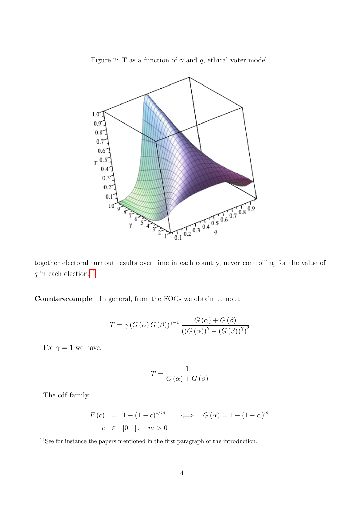Figure 2: T as a function of  $\gamma$  and  $q$ , ethical voter model.



together electoral turnout results over time in each country, never controlling for the value of  $q$  in each election.<sup>[14](#page-13-0)</sup>

Counterexample In general, from the FOCs we obtain turnout

$$
T = \gamma (G(\alpha) G(\beta))^{\gamma - 1} \frac{G(\alpha) + G(\beta)}{\left( (G(\alpha))^{\gamma} + (G(\beta))^{\gamma} \right)^2}
$$

For  $\gamma = 1$  we have:

$$
T=\frac{1}{G\left(\alpha\right)+G\left(\beta\right)}
$$

The cdf family

$$
F(c) = 1 - (1 - c)^{1/m} \iff G(\alpha) = 1 - (1 - \alpha)^m
$$
  

$$
c \in [0, 1], \quad m > 0
$$

<span id="page-13-0"></span><sup>14</sup>See for instance the papers mentioned in the first paragraph of the introduction.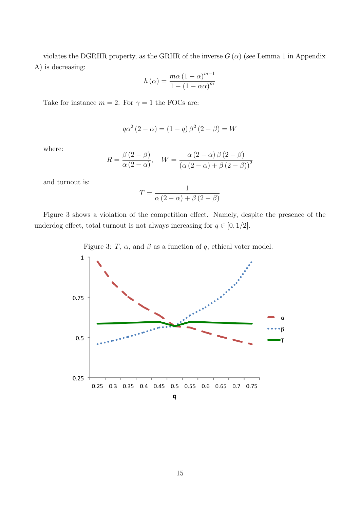violates the DGRHR property, as the GRHR of the inverse  $G(\alpha)$  (see Lemma 1 in Appendix A) is decreasing:

$$
h(\alpha) = \frac{m\alpha (1 - \alpha)^{m-1}}{1 - (1 - \alpha \alpha)^m}
$$

Take for instance  $m = 2$ . For  $\gamma = 1$  the FOCs are:

$$
q\alpha^{2}(2-\alpha) = (1-q)\beta^{2}(2-\beta) = W
$$

where:

$$
R = \frac{\beta (2 - \beta)}{\alpha (2 - \alpha)}, \quad W = \frac{\alpha (2 - \alpha) \beta (2 - \beta)}{(\alpha (2 - \alpha) + \beta (2 - \beta))^2}
$$

and turnout is:

$$
T = \frac{1}{\alpha (2 - \alpha) + \beta (2 - \beta)}
$$

Figure 3 shows a violation of the competition effect. Namely, despite the presence of the underdog effect, total turnout is not always increasing for  $q \in [0, 1/2]$ .

Figure 3: T,  $\alpha$ , and  $\beta$  as a function of q, ethical voter model.

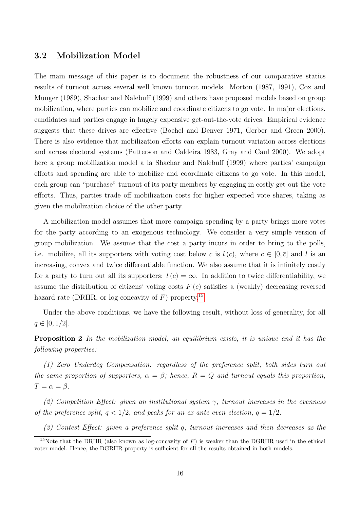### 3.2 Mobilization Model

The main message of this paper is to document the robustness of our comparative statics results of turnout across several well known turnout models. Morton (1987, 1991), Cox and Munger (1989), Shachar and Nalebuff (1999) and others have proposed models based on group mobilization, where parties can mobilize and coordinate citizens to go vote. In major elections, candidates and parties engage in hugely expensive get-out-the-vote drives. Empirical evidence suggests that these drives are effective (Bochel and Denver 1971, Gerber and Green 2000). There is also evidence that mobilization efforts can explain turnout variation across elections and across electoral systems (Patterson and Caldeira 1983, Gray and Caul 2000). We adopt here a group mobilization model a la Shachar and Nalebuff (1999) where parties' campaign efforts and spending are able to mobilize and coordinate citizens to go vote. In this model, each group can "purchase" turnout of its party members by engaging in costly get-out-the-vote efforts. Thus, parties trade off mobilization costs for higher expected vote shares, taking as given the mobilization choice of the other party.

A mobilization model assumes that more campaign spending by a party brings more votes for the party according to an exogenous technology. We consider a very simple version of group mobilization. We assume that the cost a party incurs in order to bring to the polls, i.e. mobilize, all its supporters with voting cost below c is  $l(c)$ , where  $c \in [0, \bar{c}]$  and l is an increasing, convex and twice differentiable function. We also assume that it is infinitely costly for a party to turn out all its supporters:  $l(\bar{c}) = \infty$ . In addition to twice differentiability, we assume the distribution of citizens' voting costs  $F(c)$  satisfies a (weakly) decreasing reversed hazard rate (DRHR, or log-concavity of  $F$ ) property.<sup>[15](#page-15-0)</sup>

Under the above conditions, we have the following result, without loss of generality, for all  $q \in [0, 1/2].$ 

Proposition 2 In the mobilization model, an equilibrium exists, it is unique and it has the following properties:

(1) Zero Underdog Compensation: regardless of the preference split, both sides turn out the same proportion of supporters,  $\alpha = \beta$ ; hence,  $R = Q$  and turnout equals this proportion,  $T = \alpha = \beta$ .

(2) Competition Effect: given an institutional system  $\gamma$ , turnout increases in the evenness of the preference split,  $q < 1/2$ , and peaks for an ex-ante even election,  $q = 1/2$ .

(3) Contest Effect: given a preference split q, turnout increases and then decreases as the

<span id="page-15-0"></span><sup>&</sup>lt;sup>15</sup>Note that the DRHR (also known as log-concavity of  $F$ ) is weaker than the DGRHR used in the ethical voter model. Hence, the DGRHR property is sufficient for all the results obtained in both models.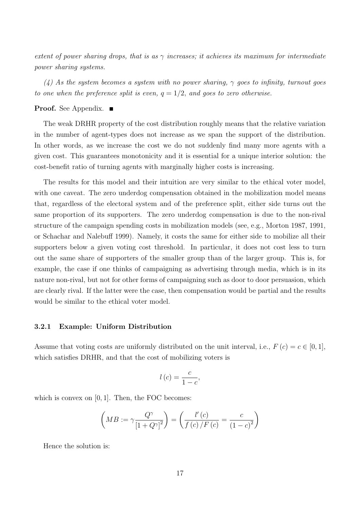extent of power sharing drops, that is as  $\gamma$  increases; it achieves its maximum for intermediate power sharing systems.

(4) As the system becomes a system with no power sharing,  $\gamma$  goes to infinity, turnout goes to one when the preference split is even,  $q = 1/2$ , and goes to zero otherwise.

#### **Proof.** See Appendix. ■

The weak DRHR property of the cost distribution roughly means that the relative variation in the number of agent-types does not increase as we span the support of the distribution. In other words, as we increase the cost we do not suddenly find many more agents with a given cost. This guarantees monotonicity and it is essential for a unique interior solution: the cost-benefit ratio of turning agents with marginally higher costs is increasing.

The results for this model and their intuition are very similar to the ethical voter model, with one caveat. The zero underdog compensation obtained in the mobilization model means that, regardless of the electoral system and of the preference split, either side turns out the same proportion of its supporters. The zero underdog compensation is due to the non-rival structure of the campaign spending costs in mobilization models (see, e.g., Morton 1987, 1991, or Schachar and Nalebuff 1999). Namely, it costs the same for either side to mobilize all their supporters below a given voting cost threshold. In particular, it does not cost less to turn out the same share of supporters of the smaller group than of the larger group. This is, for example, the case if one thinks of campaigning as advertising through media, which is in its nature non-rival, but not for other forms of campaigning such as door to door persuasion, which are clearly rival. If the latter were the case, then compensation would be partial and the results would be similar to the ethical voter model.

#### 3.2.1 Example: Uniform Distribution

Assume that voting costs are uniformly distributed on the unit interval, i.e.,  $F(c) = c \in [0, 1]$ , which satisfies DRHR, and that the cost of mobilizing voters is

$$
l\left( c\right) =\frac{c}{1-c},
$$

which is convex on  $[0, 1]$ . Then, the FOC becomes:

$$
\left(MB := \gamma \frac{Q^{\gamma}}{\left[1 + Q^{\gamma}\right]^2}\right) = \left(\frac{l'(c)}{f(c)/F(c)} = \frac{c}{\left(1 - c\right)^2}\right)
$$

Hence the solution is: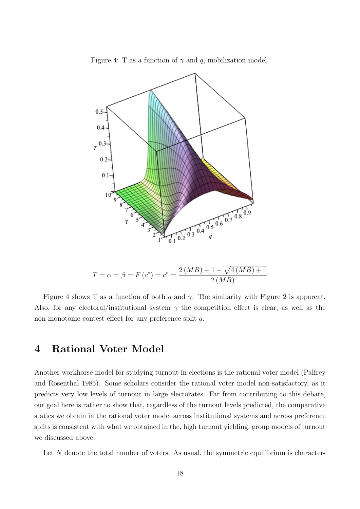Figure 4: T as a function of  $\gamma$  and q, mobilization model.



$$
T = \alpha = \beta = F(c^*) = c^* = \frac{2(MB) + 1 - \sqrt{4(MB) + 1}}{2(MB)}
$$

Figure 4 shows T as a function of both q and  $\gamma$ . The similarity with Figure 2 is apparent. Also, for any electoral/institutional system  $\gamma$  the competition effect is clear, as well as the non-monotonic contest effect for any preference split  $q$ .

# 4 Rational Voter Model

Another workhorse model for studying turnout in elections is the rational voter model (Palfrey and Rosenthal 1985). Some scholars consider the rational voter model non-satisfactory, as it predicts very low levels of turnout in large electorates. Far from contributing to this debate, our goal here is rather to show that, regardless of the turnout levels predicted, the comparative statics we obtain in the rational voter model across institutional systems and across preference splits is consistent with what we obtained in the, high turnout yielding, group models of turnout we discussed above.

Let N denote the total number of voters. As usual, the symmetric equilibrium is character-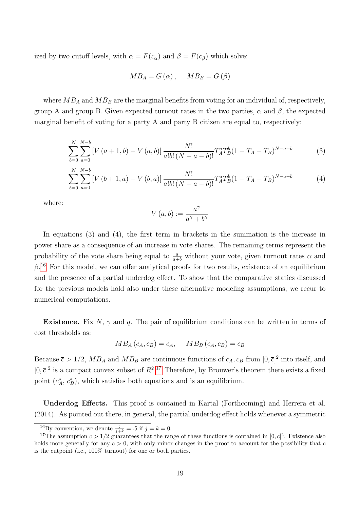ized by two cutoff levels, with  $\alpha = F(c_{\alpha})$  and  $\beta = F(c_{\beta})$  which solve:

$$
MB_A = G(\alpha), \quad MB_B = G(\beta)
$$

where  $MB_A$  and  $MB_B$  are the marginal benefits from voting for an individual of, respectively, group A and group B. Given expected turnout rates in the two parties,  $\alpha$  and  $\beta$ , the expected marginal benefit of voting for a party A and party B citizen are equal to, respectively:

$$
\sum_{b=0}^{N} \sum_{a=0}^{N-b} \left[ V\left( a+1, b\right) - V\left( a, b\right) \right] \frac{N!}{a!b! \left( N - a - b\right)!} T_A^a T_B^b (1 - T_A - T_B)^{N - a - b} \tag{3}
$$

$$
\sum_{b=0}^{N} \sum_{a=0}^{N-b} \left[ V\left( b+1, a \right) - V\left( b, a \right) \right] \frac{N!}{a!b! \left( N - a - b \right)!} T_A^a T_B^b (1 - T_A - T_B)^{N - a - b} \tag{4}
$$

where:

$$
V\left(a,b\right) := \frac{a^{\gamma}}{a^{\gamma} + b^{\gamma}}
$$

In equations (3) and (4), the first term in brackets in the summation is the increase in power share as a consequence of an increase in vote shares. The remaining terms represent the probability of the vote share being equal to  $\frac{a}{a+b}$  without your vote, given turnout rates  $\alpha$  and  $\beta$ <sup>[16](#page-18-0)</sup> For this model, we can offer analytical proofs for two results, existence of an equilibrium and the presence of a partial underdog effect. To show that the comparative statics discussed for the previous models hold also under these alternative modeling assumptions, we recur to numerical computations.

**Existence.** Fix N,  $\gamma$  and q. The pair of equilibrium conditions can be written in terms of cost thresholds as:

$$
MB_A(c_A, c_B) = c_A, \quad MB_B(c_A, c_B) = c_B
$$

Because  $\bar{c} > 1/2$ ,  $MB_A$  and  $MB_B$  are continuous functions of  $c_A, c_B$  from  $[0, \bar{c}]^2$  into itself, and  $[0,\bar{c}]^2$  is a compact convex subset of  $R^2$ .<sup>[17](#page-18-1)</sup> Therefore, by Brouwer's theorem there exists a fixed point  $(c_A^*, c_B^*)$ , which satisfies both equations and is an equilibrium.

Underdog Effects. This proof is contained in Kartal (Forthcoming) and Herrera et al. (2014). As pointed out there, in general, the partial underdog effect holds whenever a symmetric

<span id="page-18-1"></span><span id="page-18-0"></span><sup>&</sup>lt;sup>16</sup>By convention, we denote  $\frac{j}{j+k} = .5$  if  $j = k = 0$ .

<sup>&</sup>lt;sup>17</sup>The assumption  $\bar{c} > 1/2$  guarantees that the range of these functions is contained in  $[0,\bar{c}]^2$ . Existence also holds more generally for any  $\bar{c} > 0$ , with only minor changes in the proof to account for the possibility that  $\bar{c}$ is the cutpoint (i.e., 100% turnout) for one or both parties.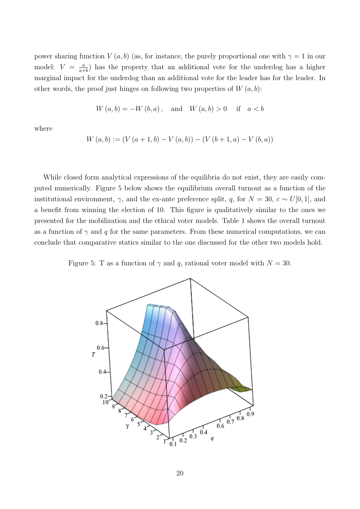power sharing function  $V(a, b)$  (as, for instance, the purely proportional one with  $\gamma = 1$  in our model:  $V = \frac{a}{a+}$  $\frac{a}{a+b}$ ) has the property that an additional vote for the underdog has a higher marginal impact for the underdog than an additional vote for the leader has for the leader. In other words, the proof just hinges on following two properties of  $W(a, b)$ :

$$
W(a,b) = -W(b,a), \text{ and } W(a,b) > 0 \text{ if } a < b
$$

where

$$
W (a, b) := (V (a + 1, b) - V (a, b)) - (V (b + 1, a) - V (b, a))
$$

While closed form analytical expressions of the equilibria do not exist, they are easily computed numerically. Figure 5 below shows the equilibrium overall turnout as a function of the institutional environment,  $\gamma$ , and the ex-ante preference split, q, for  $N = 30$ ,  $c \sim U[0, 1]$ , and a benefit from winning the election of 10. This figure is qualitatively similar to the ones we presented for the mobilization and the ethical voter models. Table 1 shows the overall turnout as a function of  $\gamma$  and q for the same parameters. From these numerical computations, we can conclude that comparative statics similar to the one discussed for the other two models hold.

#### Figure 5: T as a function of  $\gamma$  and q, rational voter model with  $N = 30$ .

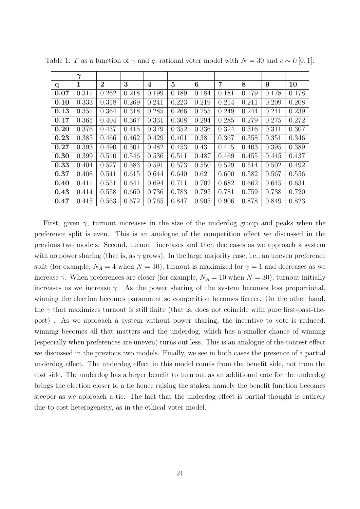|              | $\gamma$ |                  |       |                         |                 |       |                |       |       |       |
|--------------|----------|------------------|-------|-------------------------|-----------------|-------|----------------|-------|-------|-------|
| $\mathbf{q}$ | 1        | $\boldsymbol{2}$ | 3     | $\overline{\mathbf{4}}$ | $5\overline{)}$ | 6     | $\overline{7}$ | 8     | 9     | 10    |
| 0.07         | 0.311    | 0.262            | 0.218 | 0.199                   | 0.189           | 0.184 | 0.181          | 0.179 | 0.178 | 0.178 |
| 0.10         | 0.333    | 0.318            | 0.269 | 0.241                   | 0.223           | 0.219 | 0.214          | 0.211 | 0.209 | 0.208 |
| 0.13         | 0.351    | 0.364            | 0.318 | 0.285                   | 0.266           | 0.255 | 0.249          | 0.244 | 0.241 | 0.239 |
| 0.17         | 0.365    | 0.404            | 0.367 | 0.331                   | 0.308           | 0.294 | 0.285          | 0.279 | 0.275 | 0.272 |
| 0.20         | 0.376    | 0.437            | 0.415 | 0.379                   | 0.352           | 0.336 | 0.324          | 0.316 | 0.311 | 0.307 |
| 0.23         | 0.385    | 0.466            | 0.462 | 0.429                   | 0.401           | 0.381 | 0.367          | 0.358 | 0.351 | 0.346 |
| 0.27         | 0.393    | 0.490            | 0.501 | 0.482                   | 0.453           | 0.431 | 0.415          | 0.403 | 0.395 | 0.389 |
| 0.30         | 0.399    | 0.510            | 0.546 | 0.536                   | 0.511           | 0.487 | 0.469          | 0.455 | 0.445 | 0.437 |
| 0.33         | 0.404    | 0.527            | 0.583 | 0.591                   | 0.573           | 0.550 | 0.529          | 0.514 | 0.502 | 0.492 |
| 0.37         | 0.408    | 0.541            | 0.615 | 0.644                   | 0.640           | 0.621 | 0.600          | 0.582 | 0.567 | 0.556 |
| 0.40         | 0.411    | 0.551            | 0.641 | 0.694                   | 0.711           | 0.702 | 0.682          | 0.662 | 0.645 | 0.631 |
| 0.43         | 0.414    | 0.558            | 0.660 | 0.736                   | 0.783           | 0.795 | 0.781          | 0.759 | 0.738 | 0.720 |
| 0.47         | 0.415    | 0.563            | 0.672 | 0.765                   | 0.847           | 0.905 | 0.906          | 0.878 | 0.849 | 0.823 |

Table 1: T as a function of  $\gamma$  and q, rational voter model with  $N = 30$  and  $c \sim U[0, 1]$ .

First, given  $\gamma$ , turnout increases in the size of the underdog group and peaks when the preference split is even. This is an analogue of the competition effect we discussed in the previous two models. Second, turnout increases and then decreases as we approach a system with no power sharing (that is, as  $\gamma$  grows). In the large majority case, i.e., an uneven preference split (for example,  $N_A = 4$  when  $N = 30$ ), turnout is maximized for  $\gamma = 1$  and decreases as we increase  $\gamma$ . When preferences are closer (for example,  $N_A = 10$  when  $N = 30$ ), turnout initially increases as we increase  $\gamma$ . As the power sharing of the system becomes less proportional, winning the election becomes paramount so competition becomes fiercer. On the other hand, the  $\gamma$  that maximizes turnout is still finite (that is, does not coincide with pure first-past-thepost) . As we approach a system without power sharing, the incentive to vote is reduced: winning becomes all that matters and the underdog, which has a smaller chance of winning (especially when preferences are uneven) turns out less. This is an analogue of the contest effect we discussed in the previous two models. Finally, we see in both cases the presence of a partial underdog effect. The underdog effect in this model comes from the benefit side, not from the cost side. The underdog has a larger benefit to turn out as an additional vote for the underdog brings the election closer to a tie hence raising the stakes, namely the benefit function becomes steeper as we approach a tie. The fact that the underdog effect is partial thought is entirely due to cost heterogeneity, as in the ethical voter model.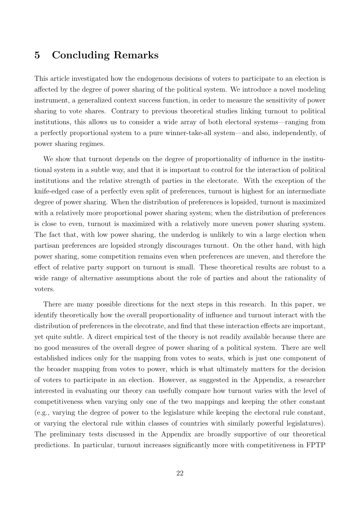## 5 Concluding Remarks

This article investigated how the endogenous decisions of voters to participate to an election is affected by the degree of power sharing of the political system. We introduce a novel modeling instrument, a generalized context success function, in order to measure the sensitivity of power sharing to vote shares. Contrary to previous theoretical studies linking turnout to political institutions, this allows us to consider a wide array of both electoral systems—ranging from a perfectly proportional system to a pure winner-take-all system—and also, independently, of power sharing regimes.

We show that turnout depends on the degree of proportionality of influence in the institutional system in a subtle way, and that it is important to control for the interaction of political institutions and the relative strength of parties in the electorate. With the exception of the knife-edged case of a perfectly even split of preferences, turnout is highest for an intermediate degree of power sharing. When the distribution of preferences is lopsided, turnout is maximized with a relatively more proportional power sharing system; when the distribution of preferences is close to even, turnout is maximized with a relatively more uneven power sharing system. The fact that, with low power sharing, the underdog is unlikely to win a large election when partisan preferences are lopsided strongly discourages turnout. On the other hand, with high power sharing, some competition remains even when preferences are uneven, and therefore the effect of relative party support on turnout is small. These theoretical results are robust to a wide range of alternative assumptions about the role of parties and about the rationality of voters.

There are many possible directions for the next steps in this research. In this paper, we identify theoretically how the overall proportionality of influence and turnout interact with the distribution of preferences in the elecotrate, and find that these interaction effects are important, yet quite subtle. A direct empirical test of the theory is not readily available because there are no good measures of the overall degree of power sharing of a political system. There are well established indices only for the mapping from votes to seats, which is just one component of the broader mapping from votes to power, which is what ultimately matters for the decision of voters to participate in an election. However, as suggested in the Appendix, a researcher interested in evaluating our theory can usefully compare how turnout varies with the level of competitiveness when varying only one of the two mappings and keeping the other constant (e.g., varying the degree of power to the legislature while keeping the electoral rule constant, or varying the electoral rule within classes of countries with similarly powerful legislatures). The preliminary tests discussed in the Appendix are broadly supportive of our theoretical predictions. In particular, turnout increases significantly more with competitiveness in FPTP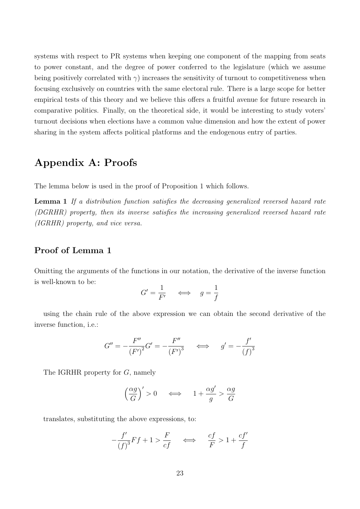systems with respect to PR systems when keeping one component of the mapping from seats to power constant, and the degree of power conferred to the legislature (which we assume being positively correlated with  $\gamma$ ) increases the sensitivity of turnout to competitiveness when focusing exclusively on countries with the same electoral rule. There is a large scope for better empirical tests of this theory and we believe this offers a fruitful avenue for future research in comparative politics. Finally, on the theoretical side, it would be interesting to study voters' turnout decisions when elections have a common value dimension and how the extent of power sharing in the system affects political platforms and the endogenous entry of parties.

# Appendix A: Proofs

The lemma below is used in the proof of Proposition 1 which follows.

Lemma 1 If a distribution function satisfies the decreasing generalized reversed hazard rate (DGRHR) property, then its inverse satisfies the increasing generalized reversed hazard rate (IGRHR) property, and vice versa.

## Proof of Lemma 1

Omitting the arguments of the functions in our notation, the derivative of the inverse function is well-known to be:

$$
G' = \frac{1}{F'} \quad \iff \quad g = \frac{1}{f}
$$

using the chain rule of the above expression we can obtain the second derivative of the inverse function, i.e.:

$$
G'' = -\frac{F''}{(F')^2}G' = -\frac{F''}{(F')^3} \iff g' = -\frac{f'}{(f)^3}
$$

The IGRHR property for G, namely

$$
\left(\frac{\alpha g}{G}\right)' > 0 \quad \iff \quad 1 + \frac{\alpha g'}{g} > \frac{\alpha g}{G}
$$

translates, substituting the above expressions, to:

$$
-\frac{f'}{(f)^3}Ff + 1 > \frac{F}{cf} \quad \iff \quad \frac{cf}{F} > 1 + \frac{cf'}{f}
$$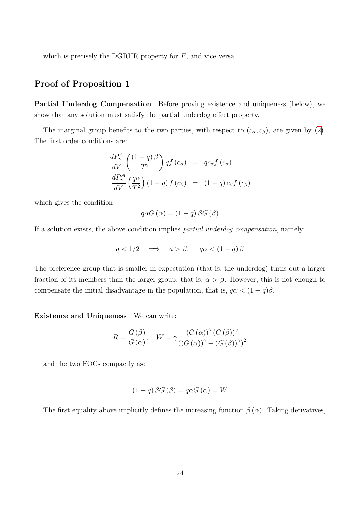which is precisely the DGRHR property for  $F$ , and vice versa.

## Proof of Proposition 1

Partial Underdog Compensation Before proving existence and uniqueness (below), we show that any solution must satisfy the partial underdog effect property.

The marginal group benefits to the two parties, with respect to  $(c_{\alpha}, c_{\beta})$ , are given by [\(2\)](#page-8-0). The first order conditions are:

$$
\frac{dP_{\gamma}^{A}}{dV} \left( \frac{(1-q)\beta}{T^2} \right) qf(c_{\alpha}) = qc_{\alpha}f(c_{\alpha})
$$
  

$$
\frac{dP_{\gamma}^{A}}{dV} \left( \frac{q\alpha}{T^2} \right) (1-q) f(c_{\beta}) = (1-q)c_{\beta}f(c_{\beta})
$$

which gives the condition

$$
q\alpha G\left(\alpha\right) = \left(1 - q\right)\beta G\left(\beta\right)
$$

If a solution exists, the above condition implies partial underdog compensation, namely:

$$
q < 1/2 \quad \Longrightarrow \quad a > \beta, \quad q\alpha < (1 - q)\beta
$$

The preference group that is smaller in expectation (that is, the underdog) turns out a larger fraction of its members than the larger group, that is,  $\alpha > \beta$ . However, this is not enough to compensate the initial disadvantage in the population, that is,  $q\alpha < (1 - q)\beta$ .

Existence and Uniqueness We can write:

$$
R = \frac{G(\beta)}{G(\alpha)}, \quad W = \gamma \frac{\left(G(\alpha)\right)^{\gamma} \left(G(\beta)\right)^{\gamma}}{\left(\left(G(\alpha)\right)^{\gamma} + \left(G(\beta)\right)^{\gamma}\right)^{2}}
$$

and the two FOCs compactly as:

$$
(1-q)\,\beta G\left(\beta\right) = q\alpha G\left(\alpha\right) = W
$$

The first equality above implicitly defines the increasing function  $\beta(\alpha)$ . Taking derivatives,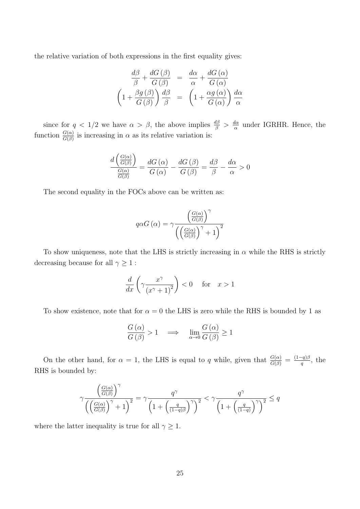the relative variation of both expressions in the first equality gives:

$$
\frac{d\beta}{\beta} + \frac{dG(\beta)}{G(\beta)} = \frac{d\alpha}{\alpha} + \frac{dG(\alpha)}{G(\alpha)}
$$

$$
\left(1 + \frac{\beta g(\beta)}{G(\beta)}\right)\frac{d\beta}{\beta} = \left(1 + \frac{\alpha g(\alpha)}{G(\alpha)}\right)\frac{d\alpha}{\alpha}
$$

since for  $q < 1/2$  we have  $\alpha > \beta$ , the above implies  $\frac{d\beta}{\beta} > \frac{d\alpha}{\alpha}$  $\frac{d\alpha}{\alpha}$  under IGRHR. Hence, the function  $\frac{G(\alpha)}{G(\beta)}$  is increasing in  $\alpha$  as its relative variation is:

$$
\frac{d\left(\frac{G(\alpha)}{G(\beta)}\right)}{\frac{G(\alpha)}{G(\beta)}} = \frac{dG(\alpha)}{G(\alpha)} - \frac{dG(\beta)}{G(\beta)} = \frac{d\beta}{\beta} - \frac{d\alpha}{\alpha} > 0
$$

The second equality in the FOCs above can be written as:

$$
q\alpha G\left(\alpha\right) = \gamma \frac{\left(\frac{G\left(\alpha\right)}{G\left(\beta\right)}\right)^{\gamma}}{\left(\left(\frac{G\left(\alpha\right)}{G\left(\beta\right)}\right)^{\gamma} + 1\right)^{2}}
$$

To show uniqueness, note that the LHS is strictly increasing in  $\alpha$  while the RHS is strictly decreasing because for all  $\gamma\geq 1$  :

$$
\frac{d}{dx}\left(\gamma \frac{x^{\gamma}}{\left(x^{\gamma}+1\right)^2}\right) < 0 \quad \text{for} \quad x > 1
$$

To show existence, note that for  $\alpha = 0$  the LHS is zero while the RHS is bounded by 1 as

$$
\frac{G(\alpha)}{G(\beta)} > 1 \quad \Longrightarrow \quad \lim_{\alpha \to 0} \frac{G(\alpha)}{G(\beta)} \ge 1
$$

On the other hand, for  $\alpha = 1$ , the LHS is equal to q while, given that  $\frac{G(\alpha)}{G(\beta)} = \frac{(1-q)\beta}{q}$  $\frac{q}{q}$ , the RHS is bounded by:

$$
\gamma \frac{\left(\frac{G(\alpha)}{G(\beta)}\right)^{\gamma}}{\left(\left(\frac{G(\alpha)}{G(\beta)}\right)^{\gamma}+1\right)^2} = \gamma \frac{q^{\gamma}}{\left(1+\left(\frac{q}{(1-q)\beta}\right)^{\gamma}\right)^2} < \gamma \frac{q^{\gamma}}{\left(1+\left(\frac{q}{(1-q)}\right)^{\gamma}\right)^2} \le q
$$

where the latter inequality is true for all  $\gamma \geq 1$ .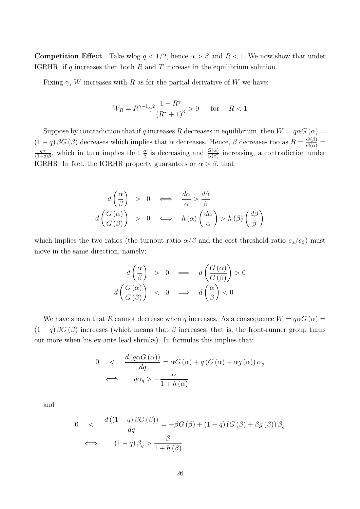**Competition Effect** Take wlog  $q < 1/2$ , hence  $\alpha > \beta$  and  $R < 1$ . We now show that under IGRHR, if  $q$  increases then both  $R$  and  $T$  increase in the equilibrium solution.

Fixing  $\gamma$ , W increases with R as for the partial derivative of W we have:

$$
W_R = R^{\gamma - 1} \gamma^2 \frac{1 - R^{\gamma}}{(R^{\gamma} + 1)^3} > 0 \quad \text{for} \quad R < 1
$$

Suppose by contradiction that if q increases R decreases in equilibrium, then  $W = q\alpha G(\alpha)$  $(1-q)\,\beta G(\beta)$  decreases which implies that  $\alpha$  decreases. Hence,  $\beta$  decreases too as  $R=\frac{G(\beta)}{G(\alpha)}=$ qα  $\frac{q\alpha}{(1-q)\beta}$ , which in turn implies that  $\frac{\alpha}{\beta}$  is decreasing and  $\frac{G(\alpha)}{G(\beta)}$  increasing, a contradiction under IGRHR. In fact, the IGRHR property guarantees or  $\alpha > \beta$ , that:

$$
d\left(\frac{\alpha}{\beta}\right) > 0 \iff \frac{d\alpha}{\alpha} > \frac{d\beta}{\beta}
$$

$$
d\left(\frac{G(\alpha)}{G(\beta)}\right) > 0 \iff h(\alpha)\left(\frac{d\alpha}{\alpha}\right) > h(\beta)\left(\frac{d\beta}{\beta}\right)
$$

which implies the two ratios (the turnout ratio  $\alpha/\beta$  and the cost threshold ratio  $c_{\alpha}/c_{\beta}$ ) must move in the same direction, namely:

$$
d\left(\frac{\alpha}{\beta}\right) > 0 \implies d\left(\frac{G(\alpha)}{G(\beta)}\right) > 0
$$

$$
d\left(\frac{G(\alpha)}{G(\beta)}\right) < 0 \implies d\left(\frac{\alpha}{\beta}\right) < 0
$$

We have shown that R cannot decrease when q increases. As a consequence  $W = q\alpha G(\alpha)$  $(1-q)\beta G(\beta)$  increases (which means that  $\beta$  increases, that is, the front-runner group turns out more when his ex-ante lead shrinks). In formulas this implies that:

$$
0 < \frac{d(q\alpha G(\alpha))}{dq} = \alpha G(\alpha) + q(G(\alpha) + \alpha g(\alpha)) \alpha_q
$$
  

$$
\iff q\alpha_q > -\frac{\alpha}{1 + h(\alpha)}
$$

and

$$
0 < \frac{d((1-q)\beta G(\beta))}{dq} = -\beta G(\beta) + (1-q) (G(\beta) + \beta g(\beta)) \beta_q
$$
  

$$
\iff (1-q)\beta_q > \frac{\beta}{1+h(\beta)}
$$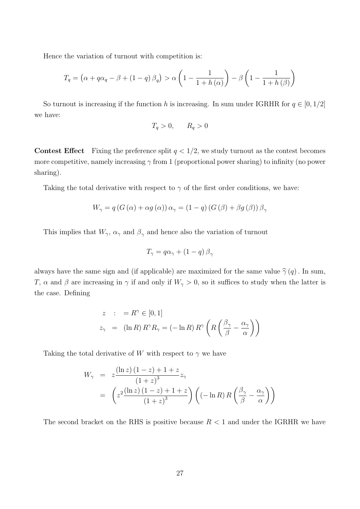Hence the variation of turnout with competition is:

$$
T_q = \left(\alpha + q\alpha_q - \beta + (1 - q)\beta_q\right) > \alpha \left(1 - \frac{1}{1 + h\left(\alpha\right)}\right) - \beta \left(1 - \frac{1}{1 + h\left(\beta\right)}\right)
$$

So turnout is increasing if the function h is increasing. In sum under IGRHR for  $q \in [0, 1/2]$ we have:

$$
T_q > 0, \qquad R_q > 0
$$

**Contest Effect** Fixing the preference split  $q < 1/2$ , we study turnout as the contest becomes more competitive, namely increasing  $\gamma$  from 1 (proportional power sharing) to infinity (no power sharing).

Taking the total derivative with respect to  $\gamma$  of the first order conditions, we have:

$$
W_{\gamma} = q(G(\alpha) + \alpha g(\alpha)) \alpha_{\gamma} = (1 - q)(G(\beta) + \beta g(\beta)) \beta_{\gamma}
$$

This implies that  $W_{\gamma}$ ,  $\alpha_{\gamma}$  and  $\beta_{\gamma}$  and hence also the variation of turnout

$$
T_{\gamma} = q\alpha_{\gamma} + (1 - q)\beta_{\gamma}
$$

always have the same sign and (if applicable) are maximized for the same value  $\hat{\gamma}(q)$ . In sum, T,  $\alpha$  and  $\beta$  are increasing in  $\gamma$  if and only if  $W_{\gamma} > 0$ , so it suffices to study when the latter is the case. Defining

$$
z : = R^{\gamma} \in [0, 1]
$$
  

$$
z_{\gamma} = (\ln R) R^{\gamma} R_{\gamma} = (-\ln R) R^{\gamma} \left( R \left( \frac{\beta_{\gamma}}{\beta} - \frac{\alpha_{\gamma}}{\alpha} \right) \right)
$$

Taking the total derivative of W with respect to  $\gamma$  we have

$$
W_{\gamma} = z \frac{(\ln z) (1 - z) + 1 + z}{(1 + z)^{3}} z_{\gamma}
$$
  
= 
$$
\left( z^{2} \frac{(\ln z) (1 - z) + 1 + z}{(1 + z)^{3}} \right) \left( (-\ln R) R \left( \frac{\beta_{\gamma}}{\beta} - \frac{\alpha_{\gamma}}{\alpha} \right) \right)
$$

The second bracket on the RHS is positive because  $R < 1$  and under the IGRHR we have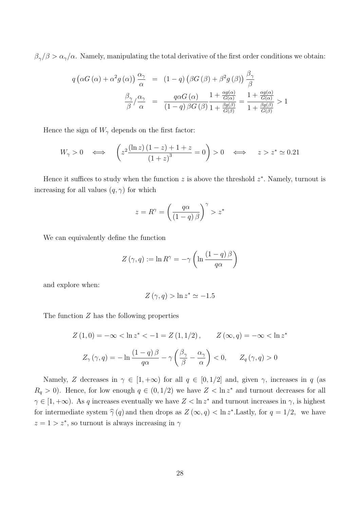$\beta_{\gamma}/\beta > \alpha_{\gamma}/\alpha$ . Namely, manipulating the total derivative of the first order conditions we obtain:

$$
q\left(\alpha G\left(\alpha\right) + \alpha^2 g\left(\alpha\right)\right) \frac{\alpha_\gamma}{\alpha} = (1-q)\left(\beta G\left(\beta\right) + \beta^2 g\left(\beta\right)\right) \frac{\beta_\gamma}{\beta}
$$

$$
\frac{\beta_\gamma}{\beta} / \frac{\alpha_\gamma}{\alpha} = \frac{q\alpha G\left(\alpha\right)}{(1-q)\beta G\left(\beta\right)} \frac{1 + \frac{\alpha g\left(\alpha\right)}{G\left(\alpha\right)}}{1 + \frac{\beta g\left(\beta\right)}{G\left(\beta\right)}} = \frac{1 + \frac{\alpha g\left(\alpha\right)}{G\left(\alpha\right)}}{1 + \frac{\beta g\left(\beta\right)}{G\left(\beta\right)}} > 1
$$

Hence the sign of  $W_{\gamma}$  depends on the first factor:

$$
W_{\gamma} > 0 \quad \Longleftrightarrow \quad \left( z^2 \frac{(\ln z)(1-z) + 1 + z}{(1+z)^3} = 0 \right) > 0 \quad \Longleftrightarrow \quad z > z^* \simeq 0.21
$$

Hence it suffices to study when the function  $z$  is above the threshold  $z^*$ . Namely, turnout is increasing for all values  $(q, \gamma)$  for which

$$
z = R^{\gamma} = \left(\frac{q\alpha}{(1-q)\beta}\right)^{\gamma} > z^*
$$

We can equivalently define the function

$$
Z(\gamma, q) := \ln R^{\gamma} = -\gamma \left( \ln \frac{(1 - q) \beta}{q \alpha} \right)
$$

and explore when:

$$
Z\left(\gamma, q\right) > \ln z^* \simeq -1.5
$$

The function Z has the following properties

$$
Z(1,0) = -\infty < \ln z^* < -1 = Z(1,1/2), \qquad Z(\infty, q) = -\infty < \ln z^*
$$
\n
$$
Z_{\gamma}(\gamma, q) = -\ln \frac{(1-q)\beta}{q\alpha} - \gamma \left(\frac{\beta_{\gamma}}{\beta} - \frac{\alpha_{\gamma}}{\alpha}\right) < 0, \qquad Z_q(\gamma, q) > 0
$$

Namely, Z decreases in  $\gamma \in [1, +\infty)$  for all  $q \in [0, 1/2]$  and, given  $\gamma$ , increases in q (as  $R_q > 0$ ). Hence, for low enough  $q \in (0, 1/2)$  we have  $Z < \ln z^*$  and turnout decreases for all  $\gamma \in [1, +\infty)$ . As q increases eventually we have  $Z < \ln z^*$  and turnout increases in  $\gamma$ , is highest for intermediate system  $\hat{\gamma}(q)$  and then drops as  $Z(\infty, q) < \ln z^*$ . Lastly, for  $q = 1/2$ , we have  $z = 1 > z^*$ , so turnout is always increasing in  $\gamma$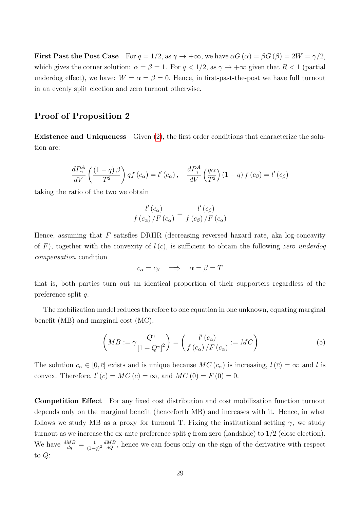First Past the Post Case For  $q = 1/2$ , as  $\gamma \to +\infty$ , we have  $\alpha G(\alpha) = \beta G(\beta) = 2W = \gamma/2$ , which gives the corner solution:  $\alpha = \beta = 1$ . For  $q < 1/2$ , as  $\gamma \to +\infty$  given that  $R < 1$  (partial underdog effect), we have:  $W = \alpha = \beta = 0$ . Hence, in first-past-the-post we have full turnout in an evenly split election and zero turnout otherwise.

### Proof of Proposition 2

Existence and Uniqueness Given [\(2\)](#page-8-0), the first order conditions that characterize the solution are:

$$
\frac{dP_{\gamma}^{A}}{dV}\left(\frac{\left(1-q\right)\beta}{T^{2}}\right)qf\left(c_{\alpha}\right) = l'\left(c_{\alpha}\right), \quad \frac{dP_{\gamma}^{A}}{dV}\left(\frac{q\alpha}{T^{2}}\right)\left(1-q\right)f\left(c_{\beta}\right) = l'\left(c_{\beta}\right)
$$

taking the ratio of the two we obtain

$$
\frac{l'(c_{\alpha})}{f(c_{\alpha})/F(c_{\alpha})} = \frac{l'(c_{\beta})}{f(c_{\beta})/F(c_{\alpha})}
$$

Hence, assuming that  $F$  satisfies DRHR (decreasing reversed hazard rate, aka log-concavity of F), together with the convexity of  $l(c)$ , is sufficient to obtain the following zero underdog compensation condition

$$
c_{\alpha} = c_{\beta} \quad \Longrightarrow \quad \alpha = \beta = T
$$

that is, both parties turn out an identical proportion of their supporters regardless of the preference split q.

The mobilization model reduces therefore to one equation in one unknown, equating marginal benefit (MB) and marginal cost (MC):

$$
\left(MB := \gamma \frac{Q^{\gamma}}{\left[1 + Q^{\gamma}\right]^2}\right) = \left(\frac{l'(c_{\alpha})}{f(c_{\alpha})/F(c_{\alpha})} := MC\right)
$$
\n(5)

The solution  $c_{\alpha} \in [0, \bar{c}]$  exists and is unique because  $MC(c_{\alpha})$  is increasing,  $l(\bar{c}) = \infty$  and l is convex. Therefore,  $l'(\overline{c}) = MC(\overline{c}) = \infty$ , and  $MC(0) = F(0) = 0$ .

Competition Effect For any fixed cost distribution and cost mobilization function turnout depends only on the marginal benefit (henceforth MB) and increases with it. Hence, in what follows we study MB as a proxy for turnout T. Fixing the institutional setting  $\gamma$ , we study turnout as we increase the ex-ante preference split q from zero (landslide) to  $1/2$  (close election). We have  $\frac{dMB}{dq} = \frac{1}{(1-\frac{1}{\sqrt{2}})}$  $\frac{1}{(1-q)^2} \frac{dMB}{dQ}$ , hence we can focus only on the sign of the derivative with respect to Q: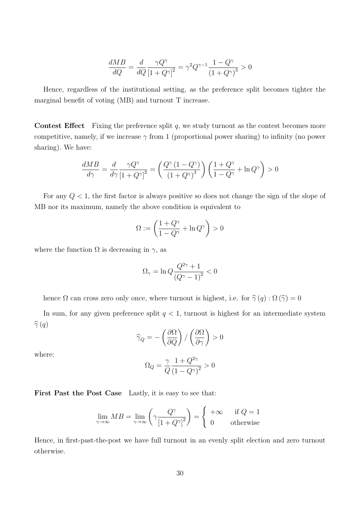$$
\frac{dMB}{dQ} = \frac{d}{dQ} \frac{\gamma Q^{\gamma}}{\left[1 + Q^{\gamma}\right]^2} = \gamma^2 Q^{\gamma - 1} \frac{1 - Q^{\gamma}}{\left(1 + Q^{\gamma}\right)^3} > 0
$$

Hence, regardless of the institutional setting, as the preference split becomes tighter the marginal benefit of voting (MB) and turnout T increase.

**Contest Effect** Fixing the preference split  $q$ , we study turnout as the contest becomes more competitive, namely, if we increase  $\gamma$  from 1 (proportional power sharing) to infinity (no power sharing). We have:

$$
\frac{dMB}{d\gamma} = \frac{d}{d\gamma} \frac{\gamma Q^{\gamma}}{\left[1 + Q^{\gamma}\right]^2} = \left(\frac{Q^{\gamma} \left(1 - Q^{\gamma}\right)}{\left(1 + Q^{\gamma}\right)^3}\right) \left(\frac{1 + Q^{\gamma}}{1 - Q^{\gamma}} + \ln Q^{\gamma}\right) > 0
$$

For any Q < 1, the first factor is always positive so does not change the sign of the slope of MB nor its maximum, namely the above condition is equivalent to

$$
\Omega := \left(\frac{1+Q^{\gamma}}{1-Q^{\gamma}} + \ln Q^{\gamma}\right) > 0
$$

where the function  $\Omega$  is decreasing in  $\gamma$ , as

$$
\Omega_{\gamma}=\ln Q\frac{Q^{2\gamma}+1}{\left(Q^{\gamma}-1\right)^2}<0
$$

hence  $\Omega$  can cross zero only once, where turnout is highest, i.e. for  $\hat{\gamma}(q) : \Omega (\hat{\gamma}) = 0$ 

In sum, for any given preference split  $q < 1$ , turnout is highest for an intermediate system  $\widehat{\gamma}(q)$ 

$$
\widehat{\gamma}_Q = -\left(\frac{\partial \Omega}{\partial Q}\right) / \left(\frac{\partial \Omega}{\partial \gamma}\right) > 0
$$

where:

$$
\Omega_Q = \frac{\gamma}{Q} \frac{1 + Q^{2\gamma}}{\left(1 - Q^{\gamma}\right)^2} > 0
$$

First Past the Post Case Lastly, it is easy to see that:

$$
\lim_{\gamma \to \infty} MB = \lim_{\gamma \to \infty} \left( \gamma \frac{Q^{\gamma}}{\left[1 + Q^{\gamma}\right]^2} \right) = \begin{cases} +\infty & \text{if } Q = 1 \\ 0 & \text{otherwise} \end{cases}
$$

Hence, in first-past-the-post we have full turnout in an evenly split election and zero turnout otherwise.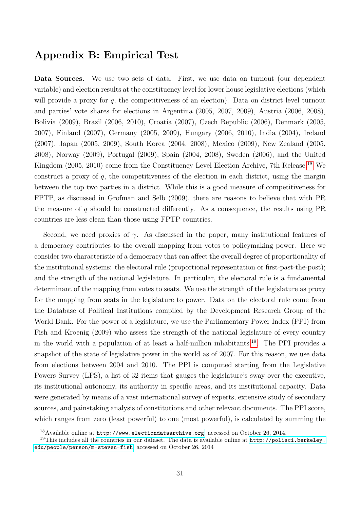## Appendix B: Empirical Test

Data Sources. We use two sets of data. First, we use data on turnout (our dependent variable) and election results at the constituency level for lower house legislative elections (which will provide a proxy for  $q$ , the competitiveness of an election). Data on district level turnout and parties' vote shares for elections in Argentina (2005, 2007, 2009), Austria (2006, 2008), Bolivia (2009), Brazil (2006, 2010), Croatia (2007), Czech Republic (2006), Denmark (2005, 2007), Finland (2007), Germany (2005, 2009), Hungary (2006, 2010), India (2004), Ireland (2007), Japan (2005, 2009), South Korea (2004, 2008), Mexico (2009), New Zealand (2005, 2008), Norway (2009), Portugal (2009), Spain (2004, 2008), Sweden (2006), and the United Kingdom (2005, 2010) come from the Constituency Level Election Archive, 7th Release.<sup>[18](#page-30-0)</sup> We construct a proxy of q, the competitiveness of the election in each district, using the margin between the top two parties in a district. While this is a good measure of competitiveness for FPTP, as discussed in Grofman and Selb (2009), there are reasons to believe that with PR the measure of  $q$  should be constructed differently. As a consequence, the results using PR countries are less clean than those using FPTP countries.

Second, we need proxies of  $\gamma$ . As discussed in the paper, many institutional features of a democracy contributes to the overall mapping from votes to policymaking power. Here we consider two characteristic of a democracy that can affect the overall degree of proportionality of the institutional systems: the electoral rule (proportional representation or first-past-the-post); and the strength of the national legislature. In particular, the electoral rule is a fundamental determinant of the mapping from votes to seats. We use the strength of the legislature as proxy for the mapping from seats in the legislature to power. Data on the electoral rule come from the Database of Political Institutions compiled by the Development Research Group of the World Bank. For the power of a legislature, we use the Parliamentary Power Index (PPI) from Fish and Kroenig (2009) who assess the strength of the national legislature of every country in the world with a population of at least a half-million inhabitants.[19](#page-30-1). The PPI provides a snapshot of the state of legislative power in the world as of 2007. For this reason, we use data from elections between 2004 and 2010. The PPI is computed starting from the Legislative Powers Survey (LPS), a list of 32 items that gauges the legislature's sway over the executive, its institutional autonomy, its authority in specific areas, and its institutional capacity. Data were generated by means of a vast international survey of experts, extensive study of secondary sources, and painstaking analysis of constitutions and other relevant documents. The PPI score, which ranges from zero (least powerful) to one (most powerful), is calculated by summing the

<span id="page-30-1"></span><span id="page-30-0"></span><sup>18</sup>Available online at <http://www.electiondataarchive.org>, accessed on October 26, 2014.

<sup>&</sup>lt;sup>19</sup>This includes all the countries in our dataset. The data is available online at  $http://polisci.berkeley.$ [edu/people/person/m-steven-fish](http://polisci.berkeley.edu/people/person/m-steven-fish), accessed on October 26, 2014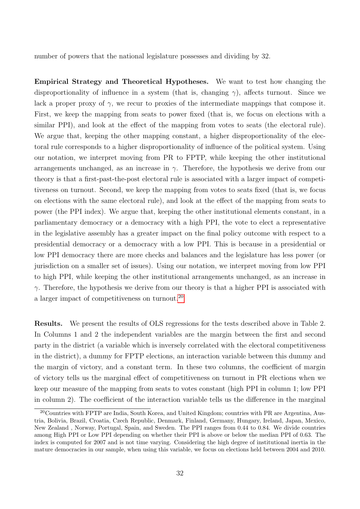number of powers that the national legislature possesses and dividing by 32.

Empirical Strategy and Theoretical Hypotheses. We want to test how changing the disproportionality of influence in a system (that is, changing  $\gamma$ ), affects turnout. Since we lack a proper proxy of  $\gamma$ , we recur to proxies of the intermediate mappings that compose it. First, we keep the mapping from seats to power fixed (that is, we focus on elections with a similar PPI), and look at the effect of the mapping from votes to seats (the electoral rule). We argue that, keeping the other mapping constant, a higher disproportionality of the electoral rule corresponds to a higher disproportionality of influence of the political system. Using our notation, we interpret moving from PR to FPTP, while keeping the other institutional arrangements unchanged, as an increase in  $\gamma$ . Therefore, the hypothesis we derive from our theory is that a first-past-the-post electoral rule is associated with a larger impact of competitiveness on turnout. Second, we keep the mapping from votes to seats fixed (that is, we focus on elections with the same electoral rule), and look at the effect of the mapping from seats to power (the PPI index). We argue that, keeping the other institutional elements constant, in a parliamentary democracy or a democracy with a high PPI, the vote to elect a representative in the legislative assembly has a greater impact on the final policy outcome with respect to a presidential democracy or a democracy with a low PPI. This is because in a presidential or low PPI democracy there are more checks and balances and the legislature has less power (or jurisdiction on a smaller set of issues). Using our notation, we interpret moving from low PPI to high PPI, while keeping the other institutional arrangements unchanged, as an increase in  $\gamma$ . Therefore, the hypothesis we derive from our theory is that a higher PPI is associated with a larger impact of competitiveness on turnout.[20](#page-31-0)

Results. We present the results of OLS regressions for the tests described above in Table 2. In Columns 1 and 2 the independent variables are the margin between the first and second party in the district (a variable which is inversely correlated with the electoral competitiveness in the district), a dummy for FPTP elections, an interaction variable between this dummy and the margin of victory, and a constant term. In these two columns, the coefficient of margin of victory tells us the marginal effect of competitiveness on turnout in PR elections when we keep our measure of the mapping from seats to votes constant (high PPI in column 1; low PPI in column 2). The coefficient of the interaction variable tells us the difference in the marginal

<span id="page-31-0"></span><sup>20</sup>Countries with FPTP are India, South Korea, and United Kingdom; countries with PR are Argentina, Austria, Bolivia, Brazil, Croatia, Czech Republic, Denmark, Finland, Germany, Hungary, Ireland, Japan, Mexico, New Zealand , Norway, Portugal, Spain, and Sweden. The PPI ranges from 0.44 to 0.84. We divide countries among High PPI or Low PPI depending on whether their PPI is above or below the median PPI of 0.63. The index is computed for 2007 and is not time varying. Considering the high degree of institutional inertia in the mature democracies in our sample, when using this variable, we focus on elections held between 2004 and 2010.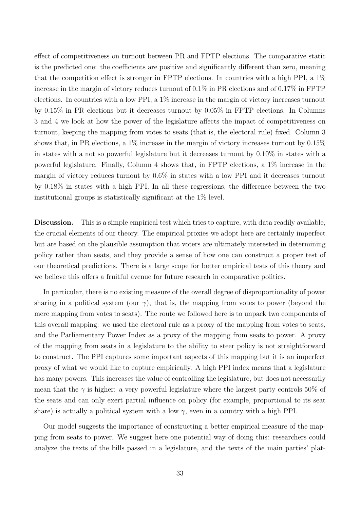effect of competitiveness on turnout between PR and FPTP elections. The comparative static is the predicted one: the coefficients are positive and significantly different than zero, meaning that the competition effect is stronger in FPTP elections. In countries with a high PPI, a 1% increase in the margin of victory reduces turnout of 0.1% in PR elections and of 0.17% in FPTP elections. In countries with a low PPI, a 1% increase in the margin of victory increases turnout by 0.15% in PR elections but it decreases turnout by 0.05% in FPTP elections. In Columns 3 and 4 we look at how the power of the legislature affects the impact of competitiveness on turnout, keeping the mapping from votes to seats (that is, the electoral rule) fixed. Column 3 shows that, in PR elections, a  $1\%$  increase in the margin of victory increases turnout by  $0.15\%$ in states with a not so powerful legislature but it decreases turnout by 0.10% in states with a powerful legislature. Finally, Column 4 shows that, in FPTP elections, a 1% increase in the margin of victory reduces turnout by 0.6% in states with a low PPI and it decreases turnout by 0.18% in states with a high PPI. In all these regressions, the difference between the two institutional groups is statistically significant at the 1% level.

Discussion. This is a simple empirical test which tries to capture, with data readily available, the crucial elements of our theory. The empirical proxies we adopt here are certainly imperfect but are based on the plausible assumption that voters are ultimately interested in determining policy rather than seats, and they provide a sense of how one can construct a proper test of our theoretical predictions. There is a large scope for better empirical tests of this theory and we believe this offers a fruitful avenue for future research in comparative politics.

In particular, there is no existing measure of the overall degree of disproportionality of power sharing in a political system (our  $\gamma$ ), that is, the mapping from votes to power (beyond the mere mapping from votes to seats). The route we followed here is to unpack two components of this overall mapping: we used the electoral rule as a proxy of the mapping from votes to seats, and the Parliamentary Power Index as a proxy of the mapping from seats to power. A proxy of the mapping from seats in a legislature to the ability to steer policy is not straightforward to construct. The PPI captures some important aspects of this mapping but it is an imperfect proxy of what we would like to capture empirically. A high PPI index means that a legislature has many powers. This increases the value of controlling the legislature, but does not necessarily mean that the  $\gamma$  is higher: a very powerful legislature where the largest party controls 50% of the seats and can only exert partial influence on policy (for example, proportional to its seat share) is actually a political system with a low  $\gamma$ , even in a country with a high PPI.

Our model suggests the importance of constructing a better empirical measure of the mapping from seats to power. We suggest here one potential way of doing this: researchers could analyze the texts of the bills passed in a legislature, and the texts of the main parties' plat-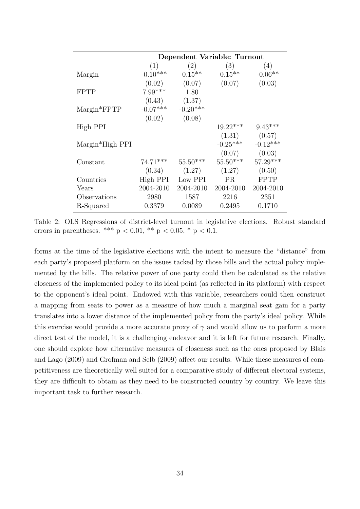|                 | Dependent Variable: Turnout |            |            |             |  |  |  |  |
|-----------------|-----------------------------|------------|------------|-------------|--|--|--|--|
|                 | (1)                         | (2)        | (3)        | (4)         |  |  |  |  |
| Margin          | $-0.10***$                  | $0.15***$  | $0.15***$  | $-0.06**$   |  |  |  |  |
|                 | (0.02)                      | (0.07)     | (0.07)     | (0.03)      |  |  |  |  |
| FPTP            | $7.99***$                   | 1.80       |            |             |  |  |  |  |
|                 | (0.43)                      | (1.37)     |            |             |  |  |  |  |
| $Margin*FPTP$   | $-0.07***$                  | $-0.20***$ |            |             |  |  |  |  |
|                 | (0.02)                      | (0.08)     |            |             |  |  |  |  |
| High PPI        |                             |            | $19.22***$ | $9.43***$   |  |  |  |  |
|                 |                             |            | (1.31)     | (0.57)      |  |  |  |  |
| Margin*High PPI |                             |            | $-0.25***$ | $-0.12***$  |  |  |  |  |
|                 |                             |            | (0.07)     | (0.03)      |  |  |  |  |
| Constant        | $74.71***$                  | $55.50***$ | $55.50***$ | $57.29***$  |  |  |  |  |
|                 | (0.34)                      | (1.27)     | (1.27)     | (0.50)      |  |  |  |  |
| Countries       | High PPI                    | Low PPI    | PR.        | <b>FPTP</b> |  |  |  |  |
| Years           | 2004-2010                   | 2004-2010  | 2004-2010  | 2004-2010   |  |  |  |  |
| Observations    | 2980                        | 1587       | 2216       | 2351        |  |  |  |  |
| R-Squared       | 0.3379                      | 0.0089     | 0.2495     | 0.1710      |  |  |  |  |

Table 2: OLS Regressions of district-level turnout in legislative elections. Robust standard errors in parentheses. \*\*\*  $p < 0.01$ , \*\*  $p < 0.05$ , \*  $p < 0.1$ .

forms at the time of the legislative elections with the intent to measure the "distance" from each party's proposed platform on the issues tacked by those bills and the actual policy implemented by the bills. The relative power of one party could then be calculated as the relative closeness of the implemented policy to its ideal point (as reflected in its platform) with respect to the opponent's ideal point. Endowed with this variable, researchers could then construct a mapping from seats to power as a measure of how much a marginal seat gain for a party translates into a lower distance of the implemented policy from the party's ideal policy. While this exercise would provide a more accurate proxy of  $\gamma$  and would allow us to perform a more direct test of the model, it is a challenging endeavor and it is left for future research. Finally, one should explore how alternative measures of closeness such as the ones proposed by Blais and Lago (2009) and Grofman and Selb (2009) affect our results. While these measures of competitiveness are theoretically well suited for a comparative study of different electoral systems, they are difficult to obtain as they need to be constructed country by country. We leave this important task to further research.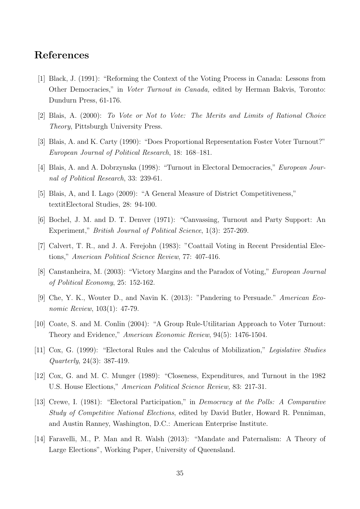## References

- [1] Black, J. (1991): "Reforming the Context of the Voting Process in Canada: Lessons from Other Democracies," in Voter Turnout in Canada, edited by Herman Bakvis, Toronto: Dundurn Press, 61-176.
- [2] Blais, A. (2000): To Vote or Not to Vote: The Merits and Limits of Rational Choice Theory, Pittsburgh University Press.
- [3] Blais, A. and K. Carty (1990): "Does Proportional Representation Foster Voter Turnout?" European Journal of Political Research, 18: 168–181.
- [4] Blais, A. and A. Dobrzynska (1998): "Turnout in Electoral Democracies," European Journal of Political Research, 33: 239-61.
- [5] Blais, A, and I. Lago (2009): "A General Measure of District Competitiveness," textitElectoral Studies, 28: 94-100.
- [6] Bochel, J. M. and D. T. Denver (1971): "Canvassing, Turnout and Party Support: An Experiment," *British Journal of Political Science*, 1(3): 257-269.
- [7] Calvert, T. R., and J. A. Ferejohn (1983): "Coattail Voting in Recent Presidential Elections," American Political Science Review, 77: 407-416.
- [8] Canstanheira, M. (2003): "Victory Margins and the Paradox of Voting," European Journal of Political Economy, 25: 152-162.
- [9] Che, Y. K., Wouter D., and Navin K. (2013): "Pandering to Persuade." American Economic Review, 103(1): 47-79.
- [10] Coate, S. and M. Conlin (2004): "A Group Rule-Utilitarian Approach to Voter Turnout: Theory and Evidence," American Economic Review, 94(5): 1476-1504.
- [11] Cox, G. (1999): "Electoral Rules and the Calculus of Mobilization," Legislative Studies Quarterly, 24(3): 387-419.
- [12] Cox, G. and M. C. Munger (1989): "Closeness, Expenditures, and Turnout in the 1982 U.S. House Elections," American Political Science Review, 83: 217-31.
- [13] Crewe, I. (1981): "Electoral Participation," in Democracy at the Polls: A Comparative Study of Competitive National Elections, edited by David Butler, Howard R. Penniman, and Austin Ranney, Washington, D.C.: American Enterprise Institute.
- [14] Faravelli, M., P. Man and R. Walsh (2013): "Mandate and Paternalism: A Theory of Large Elections", Working Paper, University of Queensland.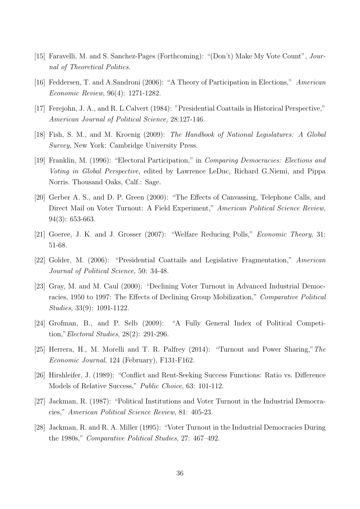- [15] Faravelli, M. and S. Sanchez-Pages (Forthcoming): "(Don't) Make My Vote Count", Journal of Theoretical Politics.
- [16] Feddersen, T. and A.Sandroni (2006): "A Theory of Participation in Elections," American Economic Review, 96(4): 1271-1282.
- [17] Ferejohn, J. A., and R. L.Calvert (1984): "Presidential Coattails in Historical Perspective," American Journal of Political Science, 28:127-146.
- [18] Fish, S. M., and M. Kroenig (2009): The Handbook of National Legislatures: A Global Survey, New York: Cambridge University Press.
- [19] Franklin, M. (1996): "Electoral Participation," in Comparing Democracies: Elections and Voting in Global Perspective, edited by Lawrence LeDuc, Richard G.Niemi, and Pippa Norris. Thousand Oaks, Calf.: Sage.
- [20] Gerber A. S., and D. P. Green (2000): "The Effects of Canvassing, Telephone Calls, and Direct Mail on Voter Turnout: A Field Experiment," American Political Science Review, 94(3): 653-663.
- [21] Goeree, J. K. and J. Grosser (2007): "Welfare Reducing Polls," *Economic Theory*, 31: 51-68.
- [22] Golder, M. (2006): "Presidential Coattails and Legislative Fragmentation," American Journal of Political Science, 50: 34-48.
- [23] Gray, M. and M. Caul (2000): "Declining Voter Turnout in Advanced Industrial Democracies, 1950 to 1997: The Effects of Declining Group Mobilization," Comparative Political Studies, 33(9): 1091-1122.
- [24] Grofman, B., and P. Selb (2009): "A Fully General Index of Political Competition,"Electoral Studies, 28(2): 291-296.
- [25] Herrera, H., M. Morelli and T. R. Palfrey (2014): "Turnout and Power Sharing,"The Economic Journal, 124 (February), F131-F162.
- [26] Hirshleifer, J. (1989): "Conflict and Rent-Seeking Success Functions: Ratio vs. Difference Models of Relative Success," Public Choice, 63: 101-112.
- [27] Jackman, R. (1987): "Political Institutions and Voter Turnout in the Industrial Democracies," American Political Science Review, 81: 405-23.
- [28] Jackman, R. and R. A. Miller (1995): "Voter Turnout in the Industrial Democracies During the 1980s," Comparative Political Studies, 27: 467–492.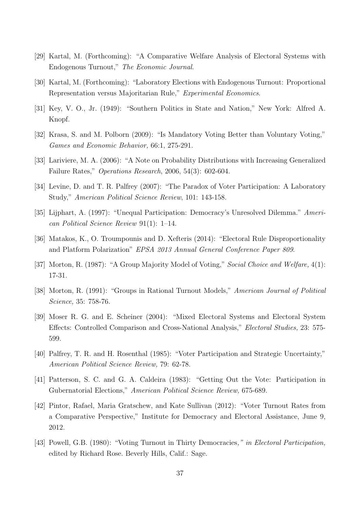- [29] Kartal, M. (Forthcoming): "A Comparative Welfare Analysis of Electoral Systems with Endogenous Turnout," The Economic Journal.
- [30] Kartal, M. (Forthcoming): "Laboratory Elections with Endogenous Turnout: Proportional Representation versus Majoritarian Rule," Experimental Economics.
- [31] Key, V. O., Jr. (1949): "Southern Politics in State and Nation," New York: Alfred A. Knopf.
- [32] Krasa, S. and M. Polborn (2009): "Is Mandatory Voting Better than Voluntary Voting," Games and Economic Behavior, 66:1, 275-291.
- [33] Lariviere, M. A. (2006): "A Note on Probability Distributions with Increasing Generalized Failure Rates," *Operations Research*, 2006, 54(3): 602-604.
- [34] Levine, D. and T. R. Palfrey (2007): "The Paradox of Voter Participation: A Laboratory Study," American Political Science Review, 101: 143-158.
- [35] Lijphart, A. (1997): "Unequal Participation: Democracy's Unresolved Dilemma." American Political Science Review 91(1): 1–14.
- [36] Matakos, K., O. Troumpounis and D. Xefteris (2014): "Electoral Rule Disproportionality and Platform Polarization" EPSA 2013 Annual General Conference Paper 809.
- [37] Morton, R. (1987): "A Group Majority Model of Voting," Social Choice and Welfare, 4(1): 17-31.
- [38] Morton, R. (1991): "Groups in Rational Turnout Models," American Journal of Political Science, 35: 758-76.
- [39] Moser R. G. and E. Scheiner (2004): "Mixed Electoral Systems and Electoral System Effects: Controlled Comparison and Cross-National Analysis," Electoral Studies, 23: 575- 599.
- [40] Palfrey, T. R. and H. Rosenthal (1985): "Voter Participation and Strategic Uncertainty," American Political Science Review, 79: 62-78.
- [41] Patterson, S. C. and G. A. Caldeira (1983): "Getting Out the Vote: Participation in Gubernatorial Elections," American Political Science Review, 675-689.
- [42] Pintor, Rafael, Maria Gratschew, and Kate Sullivan (2012): "Voter Turnout Rates from a Comparative Perspective," Institute for Democracy and Electoral Assistance, June 9, 2012.
- [43] Powell, G.B. (1980): "Voting Turnout in Thirty Democracies," in Electoral Participation, edited by Richard Rose. Beverly Hills, Calif.: Sage.